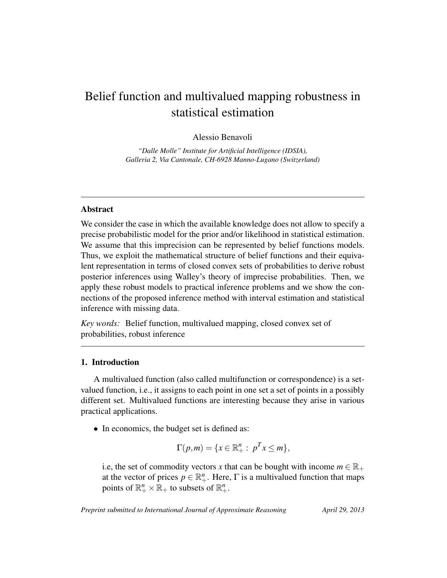# Belief function and multivalued mapping robustness in statistical estimation

Alessio Benavoli

*"Dalle Molle" Institute for Artificial Intelligence (IDSIA), Galleria 2, Via Cantonale, CH-6928 Manno-Lugano (Switzerland)*

# Abstract

We consider the case in which the available knowledge does not allow to specify a precise probabilistic model for the prior and/or likelihood in statistical estimation. We assume that this imprecision can be represented by belief functions models. Thus, we exploit the mathematical structure of belief functions and their equivalent representation in terms of closed convex sets of probabilities to derive robust posterior inferences using Walley's theory of imprecise probabilities. Then, we apply these robust models to practical inference problems and we show the connections of the proposed inference method with interval estimation and statistical inference with missing data.

*Key words:* Belief function, multivalued mapping, closed convex set of probabilities, robust inference

# 1. Introduction

A multivalued function (also called multifunction or correspondence) is a setvalued function, i.e., it assigns to each point in one set a set of points in a possibly different set. Multivalued functions are interesting because they arise in various practical applications.

• In economics, the budget set is defined as:

$$
\Gamma(p,m) = \{x \in \mathbb{R}_+^n : p^T x \le m\},\
$$

i.e, the set of commodity vectors *x* that can be bought with income  $m \in \mathbb{R}_+$ at the vector of prices  $p \in \mathbb{R}^n_+$ . Here,  $\Gamma$  is a multivalued function that maps points of  $\mathbb{R}^n_+ \times \mathbb{R}_+$  to subsets of  $\mathbb{R}^n_+$ .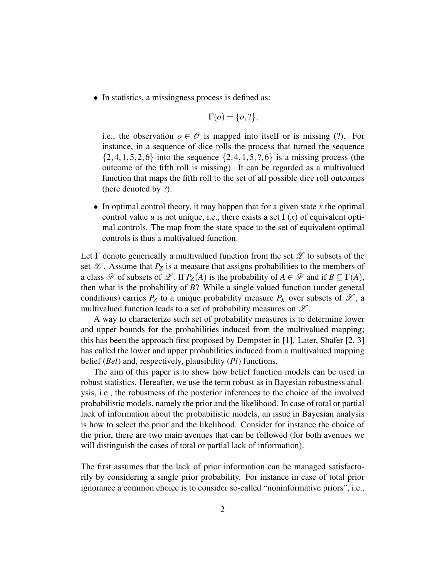• In statistics, a missingness process is defined as:

$$
\Gamma(o) = \{o,?\},\
$$

i.e., the observation  $o \in \mathcal{O}$  is mapped into itself or is missing (?). For instance, in a sequence of dice rolls the process that turned the sequence  $\{2,4,1,5,2,6\}$  into the sequence  $\{2,4,1,5,?,6\}$  is a missing process (the outcome of the fifth roll is missing). It can be regarded as a multivalued function that maps the fifth roll to the set of all possible dice roll outcomes (here denoted by ?).

• In optimal control theory, it may happen that for a given state *x* the optimal control value *u* is not unique, i.e., there exists a set  $\Gamma(x)$  of equivalent optimal controls. The map from the state space to the set of equivalent optimal controls is thus a multivalued function.

Let  $\Gamma$  denote generically a multivalued function from the set  $\mathscr Z$  to subsets of the set  $\mathscr X$ . Assume that  $P_Z$  is a measure that assigns probabilities to the members of a class  $\mathscr F$  of subsets of  $\mathscr L$ . If  $P_Z(A)$  is the probability of  $A \in \mathscr F$  and if  $B \subseteq \Gamma(A)$ , then what is the probability of *B*? While a single valued function (under general conditions) carries  $P_Z$  to a unique probability measure  $P_X$  over subsets of  $\mathscr{X}$ , a multivalued function leads to a set of probability measures on  $\mathscr X$ .

A way to characterize such set of probability measures is to determine lower and upper bounds for the probabilities induced from the multivalued mapping; this has been the approach first proposed by Dempster in [1]. Later, Shafer [2, 3] has called the lower and upper probabilities induced from a multivalued mapping belief (*Bel*) and, respectively, plausibility (*Pl*) functions.

The aim of this paper is to show how belief function models can be used in robust statistics. Hereafter, we use the term robust as in Bayesian robustness analysis, i.e., the robustness of the posterior inferences to the choice of the involved probabilistic models, namely the prior and the likelihood. In case of total or partial lack of information about the probabilistic models, an issue in Bayesian analysis is how to select the prior and the likelihood. Consider for instance the choice of the prior, there are two main avenues that can be followed (for both avenues we will distinguish the cases of total or partial lack of information).

The first assumes that the lack of prior information can be managed satisfactorily by considering a single prior probability. For instance in case of total prior ignorance a common choice is to consider so-called "noninformative priors", i.e.,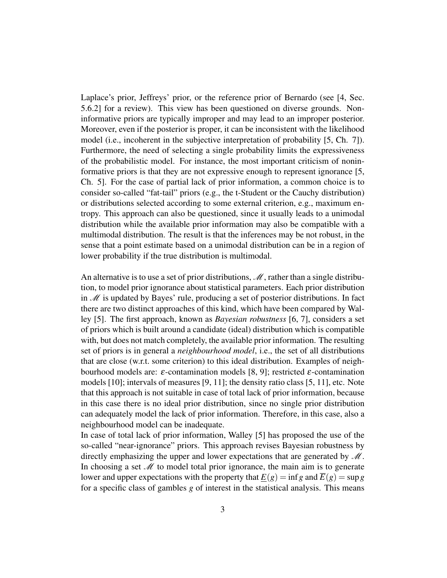Laplace's prior, Jeffreys' prior, or the reference prior of Bernardo (see [4, Sec. 5.6.2] for a review). This view has been questioned on diverse grounds. Noninformative priors are typically improper and may lead to an improper posterior. Moreover, even if the posterior is proper, it can be inconsistent with the likelihood model (i.e., incoherent in the subjective interpretation of probability [5, Ch. 7]). Furthermore, the need of selecting a single probability limits the expressiveness of the probabilistic model. For instance, the most important criticism of noninformative priors is that they are not expressive enough to represent ignorance [5, Ch. 5]. For the case of partial lack of prior information, a common choice is to consider so-called "fat-tail" priors (e.g., the t-Student or the Cauchy distribution) or distributions selected according to some external criterion, e.g., maximum entropy. This approach can also be questioned, since it usually leads to a unimodal distribution while the available prior information may also be compatible with a multimodal distribution. The result is that the inferences may be not robust, in the sense that a point estimate based on a unimodal distribution can be in a region of lower probability if the true distribution is multimodal.

An alternative is to use a set of prior distributions,  $\mathcal M$ , rather than a single distribution, to model prior ignorance about statistical parameters. Each prior distribution in  $M$  is updated by Bayes' rule, producing a set of posterior distributions. In fact there are two distinct approaches of this kind, which have been compared by Walley [5]. The first approach, known as *Bayesian robustness* [6, 7], considers a set of priors which is built around a candidate (ideal) distribution which is compatible with, but does not match completely, the available prior information. The resulting set of priors is in general a *neighbourhood model*, i.e., the set of all distributions that are close (w.r.t. some criterion) to this ideal distribution. Examples of neighbourhood models are:  $\varepsilon$ -contamination models [8, 9]; restricted  $\varepsilon$ -contamination models [10]; intervals of measures [9, 11]; the density ratio class [5, 11], etc. Note that this approach is not suitable in case of total lack of prior information, because in this case there is no ideal prior distribution, since no single prior distribution can adequately model the lack of prior information. Therefore, in this case, also a neighbourhood model can be inadequate.

In case of total lack of prior information, Walley [5] has proposed the use of the so-called "near-ignorance" priors. This approach revises Bayesian robustness by directly emphasizing the upper and lower expectations that are generated by  $\mathcal{M}$ . In choosing a set  $\mathcal M$  to model total prior ignorance, the main aim is to generate lower and upper expectations with the property that  $E(g) = \inf g$  and  $\overline{E}(g) = \sup g$ for a specific class of gambles *g* of interest in the statistical analysis. This means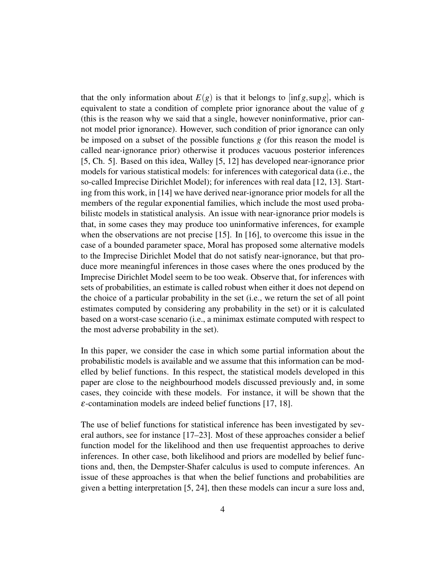that the only information about  $E(g)$  is that it belongs to  $\left[ \inf g, \sup g \right]$ , which is equivalent to state a condition of complete prior ignorance about the value of *g* (this is the reason why we said that a single, however noninformative, prior cannot model prior ignorance). However, such condition of prior ignorance can only be imposed on a subset of the possible functions *g* (for this reason the model is called near-ignorance prior) otherwise it produces vacuous posterior inferences [5, Ch. 5]. Based on this idea, Walley [5, 12] has developed near-ignorance prior models for various statistical models: for inferences with categorical data (i.e., the so-called Imprecise Dirichlet Model); for inferences with real data [12, 13]. Starting from this work, in [14] we have derived near-ignorance prior models for all the members of the regular exponential families, which include the most used probabilistc models in statistical analysis. An issue with near-ignorance prior models is that, in some cases they may produce too uninformative inferences, for example when the observations are not precise [15]. In [16], to overcome this issue in the case of a bounded parameter space, Moral has proposed some alternative models to the Imprecise Dirichlet Model that do not satisfy near-ignorance, but that produce more meaningful inferences in those cases where the ones produced by the Imprecise Dirichlet Model seem to be too weak. Observe that, for inferences with sets of probabilities, an estimate is called robust when either it does not depend on the choice of a particular probability in the set (i.e., we return the set of all point estimates computed by considering any probability in the set) or it is calculated based on a worst-case scenario (i.e., a minimax estimate computed with respect to the most adverse probability in the set).

In this paper, we consider the case in which some partial information about the probabilistic models is available and we assume that this information can be modelled by belief functions. In this respect, the statistical models developed in this paper are close to the neighbourhood models discussed previously and, in some cases, they coincide with these models. For instance, it will be shown that the  $\varepsilon$ -contamination models are indeed belief functions [17, 18].

The use of belief functions for statistical inference has been investigated by several authors, see for instance [17–23]. Most of these approaches consider a belief function model for the likelihood and then use frequentist approaches to derive inferences. In other case, both likelihood and priors are modelled by belief functions and, then, the Dempster-Shafer calculus is used to compute inferences. An issue of these approaches is that when the belief functions and probabilities are given a betting interpretation [5, 24], then these models can incur a sure loss and,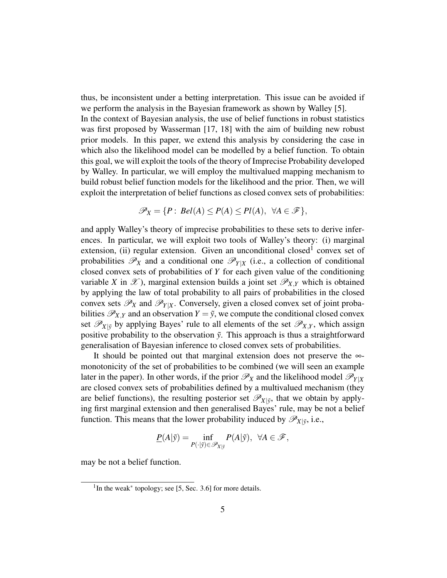thus, be inconsistent under a betting interpretation. This issue can be avoided if we perform the analysis in the Bayesian framework as shown by Walley [5]. In the context of Bayesian analysis, the use of belief functions in robust statistics was first proposed by Wasserman [17, 18] with the aim of building new robust prior models. In this paper, we extend this analysis by considering the case in which also the likelihood model can be modelled by a belief function. To obtain this goal, we will exploit the tools of the theory of Imprecise Probability developed by Walley. In particular, we will employ the multivalued mapping mechanism to build robust belief function models for the likelihood and the prior. Then, we will exploit the interpretation of belief functions as closed convex sets of probabilities:

$$
\mathscr{P}_X = \{ P : Bel(A) \leq P(A) \leq Pl(A), \ \forall A \in \mathscr{F} \},
$$

and apply Walley's theory of imprecise probabilities to these sets to derive inferences. In particular, we will exploit two tools of Walley's theory: (i) marginal extension, (ii) regular extension. Given an unconditional closed<sup>1</sup> convex set of probabilities  $\mathscr{P}_X$  and a conditional one  $\mathscr{P}_{Y|X}$  (i.e., a collection of conditional closed convex sets of probabilities of *Y* for each given value of the conditioning variable *X* in  $\mathcal{X}$ ), marginal extension builds a joint set  $\mathcal{P}_{X,Y}$  which is obtained by applying the law of total probability to all pairs of probabilities in the closed convex sets  $\mathscr{P}_X$  and  $\mathscr{P}_{Y|X}$ . Conversely, given a closed convex set of joint probabilities  $\mathscr{P}_{X,Y}$  and an observation  $Y = \tilde{y}$ , we compute the conditional closed convex set  $\mathscr{P}_{X|\tilde{y}}$  by applying Bayes' rule to all elements of the set  $\mathscr{P}_{X,Y}$ , which assign positive probability to the observation  $\tilde{y}$ . This approach is thus a straightforward generalisation of Bayesian inference to closed convex sets of probabilities.

It should be pointed out that marginal extension does not preserve the  $\infty$ monotonicity of the set of probabilities to be combined (we will seen an example later in the paper). In other words, if the prior  $\mathcal{P}_X$  and the likelihood model  $\mathcal{P}_{Y|X}$ are closed convex sets of probabilities defined by a multivalued mechanism (they are belief functions), the resulting posterior set  $\mathscr{P}_{X|\tilde{y}}$ , that we obtain by applying first marginal extension and then generalised Bayes' rule, may be not a belief function. This means that the lower probability induced by  $\mathscr{P}_{X|\tilde{y}}$ , i.e.,

$$
\underline{P}(A|\tilde{y}) = \inf_{P(\cdot|\tilde{y}) \in \mathscr{P}_{X|\tilde{y}}} P(A|\tilde{y}), \ \ \forall A \in \mathscr{F},
$$

may be not a belief function.

<sup>&</sup>lt;sup>1</sup>In the weak<sup>\*</sup> topology; see [5, Sec. 3.6] for more details.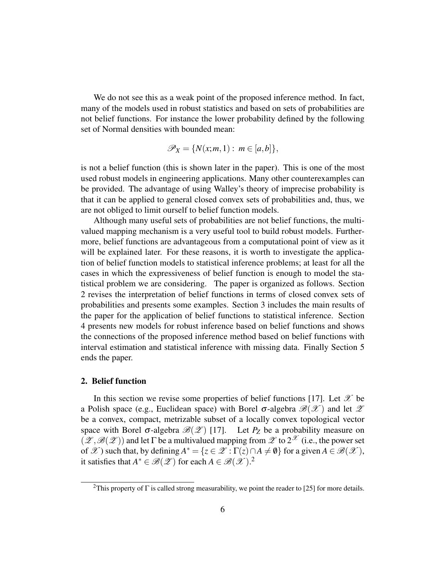We do not see this as a weak point of the proposed inference method. In fact, many of the models used in robust statistics and based on sets of probabilities are not belief functions. For instance the lower probability defined by the following set of Normal densities with bounded mean:

$$
\mathscr{P}_X = \{ N(x;m,1) : m \in [a,b] \},\
$$

is not a belief function (this is shown later in the paper). This is one of the most used robust models in engineering applications. Many other counterexamples can be provided. The advantage of using Walley's theory of imprecise probability is that it can be applied to general closed convex sets of probabilities and, thus, we are not obliged to limit ourself to belief function models.

Although many useful sets of probabilities are not belief functions, the multivalued mapping mechanism is a very useful tool to build robust models. Furthermore, belief functions are advantageous from a computational point of view as it will be explained later. For these reasons, it is worth to investigate the application of belief function models to statistical inference problems; at least for all the cases in which the expressiveness of belief function is enough to model the statistical problem we are considering. The paper is organized as follows. Section 2 revises the interpretation of belief functions in terms of closed convex sets of probabilities and presents some examples. Section 3 includes the main results of the paper for the application of belief functions to statistical inference. Section 4 presents new models for robust inference based on belief functions and shows the connections of the proposed inference method based on belief functions with interval estimation and statistical inference with missing data. Finally Section 5 ends the paper.

## 2. Belief function

In this section we revise some properties of belief functions [17]. Let  $\mathscr X$  be a Polish space (e.g., Euclidean space) with Borel  $\sigma$ -algebra  $\mathscr{B}(\mathscr{X})$  and let  $\mathscr{Z}$ be a convex, compact, metrizable subset of a locally convex topological vector space with Borel  $\sigma$ -algebra  $\mathcal{B}(\mathcal{L})$  [17]. Let  $P_Z$  be a probability measure on  $(\mathscr{Z},\mathscr{B}(\mathscr{Z}))$  and let  $\Gamma$  be a multivalued mapping from  $\mathscr{Z}$  to  $2^{\mathscr{X}}$  (i.e., the power set of  $\mathscr X$ ) such that, by defining  $A^* = \{z \in \mathscr X : \Gamma(z) \cap A \neq \emptyset\}$  for a given  $A \in \mathscr B(\mathscr X)$ , it satisfies that  $A^* \in \mathcal{B}(\mathcal{X})$  for each  $A \in \mathcal{B}(\mathcal{X})$ .<sup>2</sup>

<sup>&</sup>lt;sup>2</sup>This property of  $\Gamma$  is called strong measurability, we point the reader to [25] for more details.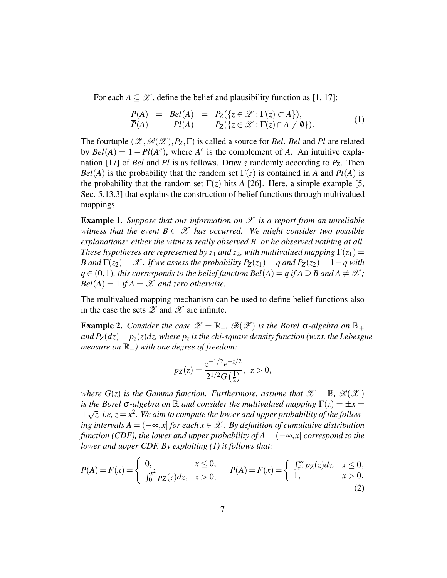For each  $A \subseteq \mathcal{X}$ , define the belief and plausibility function as [1, 17]:

$$
\begin{array}{rcl}\n\underline{P}(A) & = & Bel(A) = & P_Z(\{z \in \mathcal{Z} : \Gamma(z) \subset A\}), \\
\overline{P}(A) & = & Pl(A) = & P_Z(\{z \in \mathcal{Z} : \Gamma(z) \cap A \neq \emptyset\}).\n\end{array} \tag{1}
$$

The fourtuple  $(\mathscr{Z}, \mathscr{B}(\mathscr{Z}), P_{Z}, \Gamma)$  is called a source for *Bel. Bel* and *Pl* are related by  $Bel(A) = 1 - Pl(A<sup>c</sup>)$ , where  $A<sup>c</sup>$  is the complement of *A*. An intuitive explanation [17] of *Bel* and *Pl* is as follows. Draw *z* randomly according to *PZ*. Then *Bel*(*A*) is the probability that the random set  $\Gamma(z)$  is contained in *A* and *Pl*(*A*) is the probability that the random set  $\Gamma(z)$  hits *A* [26]. Here, a simple example [5, Sec. 5.13.3] that explains the construction of belief functions through multivalued mappings.

Example 1. *Suppose that our information on* X *is a report from an unreliable witness that the event*  $B \subset \mathcal{X}$  *has occurred. We might consider two possible explanations: either the witness really observed B, or he observed nothing at all. These hypotheses are represented by*  $z_1$  *and*  $z_2$ *, with multivalued mapping*  $\Gamma(z_1)$  = *B* and  $\Gamma(z_2) = \mathcal{X}$ . If we assess the probability  $P_Z(z_1) = q$  and  $P_Z(z_2) = 1 - q$  with *q* ∈ (0, 1), this corresponds to the belief function Bel(A) = *q* if  $A$  ⊃  $B$  and  $A ≠ X$ ;  $Bel(A) = 1$  *if*  $A = \mathcal{X}$  *and zero otherwise.* 

The multivalued mapping mechanism can be used to define belief functions also in the case the sets  $\mathscr Z$  and  $\mathscr X$  are infinite.

**Example 2.** *Consider the case*  $\mathscr{Z} = \mathbb{R}_+$ ,  $\mathscr{B}(\mathscr{Z})$  *is the Borel*  $\sigma$ -*algebra on*  $\mathbb{R}_+$ *and*  $P_Z(dz) = p_z(z)dz$ *, where*  $p_z$  *is the chi-square density function (w.r.t. the Lebesgue measure on*  $\mathbb{R}_+$ *) with one degree of freedom:* 

$$
p_Z(z) = \frac{z^{-1/2}e^{-z/2}}{2^{1/2}G\left(\frac{1}{2}\right)}, \ z > 0,
$$

*where*  $G(z)$  *is the Gamma function. Furthermore, assume that*  $\mathscr{X} = \mathbb{R}, \mathscr{B}(\mathscr{X})$ *is the Borel*  $\sigma$ -algebra on  $\mathbb R$  *and consider the multivalued mapping*  $\Gamma(z) = \pm x$ ± √  $\overline{z}$ , i.e,  $z$   $=$   $x^2$ . We aim to compute the lower and upper probability of the follow*ing intervals A* =  $(-∞, x]$  *for each*  $x \in \mathcal{X}$ . By definition of cumulative distribution *function (CDF), the lower and upper probability of*  $A = (-\infty, x]$  *correspond to the lower and upper CDF. By exploiting (1) it follows that:*

$$
\underline{P}(A) = \underline{F}(x) = \begin{cases} 0, & x \le 0, \\ \int_0^x p_Z(z) dz, & x > 0, \end{cases} \qquad \overline{P}(A) = \overline{F}(x) = \begin{cases} \int_{x^2}^\infty p_Z(z) dz, & x \le 0, \\ 1, & x > 0. \end{cases}
$$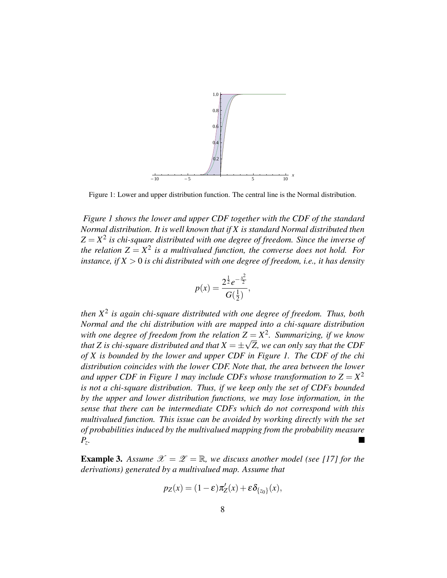

Figure 1: Lower and upper distribution function. The central line is the Normal distribution.

*Figure 1 shows the lower and upper CDF together with the CDF of the standard Normal distribution. It is well known that if X is standard Normal distributed then*  $Z = X<sup>2</sup>$  is chi-square distributed with one degree of freedom. Since the inverse of the relation  $Z = X^2$  is a multivalued function, the converse does not hold. For *instance, if*  $X > 0$  *is chi distributed with one degree of freedom, i.e., it has density* 

$$
p(x) = \frac{2^{\frac{1}{2}}e^{-\frac{x^2}{2}}}{G(\frac{1}{2})},
$$

*then X*<sup>2</sup> *is again chi-square distributed with one degree of freedom. Thus, both Normal and the chi distribution with are mapped into a chi-square distribution* with one degree of freedom from the relation  $Z = X^2$ . Summarizing, if we know that Z is chi-square distributed and that  $X=\pm \sqrt{Z}$ , we can only say that the  $CDF$ *of X is bounded by the lower and upper CDF in Figure 1. The CDF of the chi distribution coincides with the lower CDF. Note that, the area between the lower and upper CDF in Figure 1 may include CDFs whose transformation to*  $Z = X^2$ *is not a chi-square distribution. Thus, if we keep only the set of CDFs bounded by the upper and lower distribution functions, we may lose information, in the sense that there can be intermediate CDFs which do not correspond with this multivalued function. This issue can be avoided by working directly with the set of probabilities induced by the multivalued mapping from the probability measure Pz .*

**Example 3.** Assume  $\mathcal{X} = \mathcal{Z} = \mathbb{R}$ , we discuss another model (see [17] for the *derivations) generated by a multivalued map. Assume that*

$$
p_Z(x) = (1 - \varepsilon) \pi'_Z(x) + \varepsilon \delta_{\{z_0\}}(x),
$$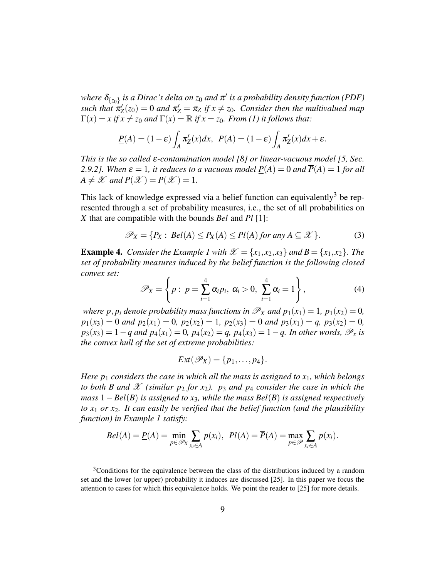where  $\delta_{\{z_0\}}$  is a Dirac's delta on  $z_0$  and  $\pi'$  is a probability density function (PDF) *such that*  $\pi'_Z(z_0) = 0$  *and*  $\pi'_Z = \pi_Z$  *if*  $x \neq z_0$ *. Consider then the multivalued map*  $\Gamma(x) = x$  if  $x \neq z_0$  and  $\Gamma(x) = \mathbb{R}$  if  $x = z_0$ *. From (1) it follows that:* 

$$
\underline{P}(A) = (1 - \varepsilon) \int_A \pi'_Z(x) dx, \ \ \overline{P}(A) = (1 - \varepsilon) \int_A \pi'_Z(x) dx + \varepsilon.
$$

*This is the so called* ε*-contamination model [8] or linear-vacuous model [5, Sec. 2.9.2]. When*  $\varepsilon = 1$ , *it reduces to a vacuous model*  $P(A) = 0$  *and*  $\overline{P}(A) = 1$  *for all*  $A \neq \mathscr{X}$  and  $\underline{P}(\mathscr{X}) = \overline{P}(\mathscr{X}) = 1$ .

This lack of knowledge expressed via a belief function can equivalently<sup>3</sup> be represented through a set of probability measures, i.e., the set of all probabilities on *X* that are compatible with the bounds *Bel* and *Pl* [1]:

$$
\mathscr{P}_X = \{ P_X : \text{Bel}(A) \le P_X(A) \le P I(A) \text{ for any } A \subseteq \mathscr{X} \}. \tag{3}
$$

**Example 4.** *Consider the Example 1 with*  $\mathcal{X} = \{x_1, x_2, x_3\}$  *and*  $B = \{x_1, x_2\}$ *. The set of probability measures induced by the belief function is the following closed convex set:*

$$
\mathscr{P}_X = \left\{ p: \ p = \sum_{i=1}^4 \alpha_i p_i, \ \alpha_i > 0, \ \sum_{i=1}^4 \alpha_i = 1 \right\},\tag{4}
$$

*where p, p<sub>i</sub> denote probability mass functions in*  $\mathscr{P}_X$  *and*  $p_1(x_1) = 1$ *,*  $p_1(x_2) = 0$ *,*  $p_1(x_3) = 0$  *and*  $p_2(x_1) = 0$ *,*  $p_2(x_2) = 1$ *,*  $p_2(x_3) = 0$  *and*  $p_3(x_1) = q$ *,*  $p_3(x_2) = 0$ *,*  $p_3(x_3) = 1 - q$  and  $p_4(x_1) = 0$ ,  $p_4(x_2) = q$ ,  $p_4(x_3) = 1 - q$ . In other words,  $\mathcal{P}_x$  is *the convex hull of the set of extreme probabilities:*

$$
Ext(\mathscr{P}_X)=\{p_1,\ldots,p_4\}.
$$

*Here p*<sup>1</sup> *considers the case in which all the mass is assigned to x*1*, which belongs to both B and X (similar*  $p_2$  *for*  $x_2$ *).*  $p_3$  *and*  $p_4$  *consider the case in which the mass* 1−*Bel*(*B*) *is assigned to x*3*, while the mass Bel*(*B*) *is assigned respectively to x*<sup>1</sup> *or x*2*. It can easily be verified that the belief function (and the plausibility function) in Example 1 satisfy:*

$$
Bel(A) = \underline{P}(A) = \min_{p \in \mathscr{P}_X} \sum_{x_i \in A} p(x_i), \ \ Pl(A) = \overline{P}(A) = \max_{p \in \mathscr{P}} \sum_{x_i \in A} p(x_i).
$$

<sup>&</sup>lt;sup>3</sup>Conditions for the equivalence between the class of the distributions induced by a random set and the lower (or upper) probability it induces are discussed [25]. In this paper we focus the attention to cases for which this equivalence holds. We point the reader to [25] for more details.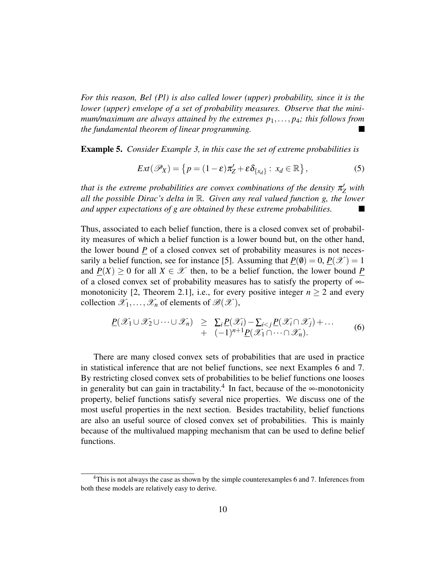*For this reason, Bel (Pl) is also called lower (upper) probability, since it is the lower (upper) envelope of a set of probability measures. Observe that the minimum/maximum are always attained by the extremes p*1,..., *p*4*; this follows from the fundamental theorem of linear programming.*

Example 5. *Consider Example 3, in this case the set of extreme probabilities is*

$$
Ext(\mathscr{P}_X) = \left\{ p = (1 - \varepsilon) \pi'_Z + \varepsilon \delta_{\{x_d\}} : x_d \in \mathbb{R} \right\},\tag{5}
$$

*that is the extreme probabilities are convex combinations of the density*  $\pi_{Z}'$  *with all the possible Dirac's delta in* R*. Given any real valued function g, the lower and upper expectations of g are obtained by these extreme probabilities.*

Thus, associated to each belief function, there is a closed convex set of probability measures of which a belief function is a lower bound but, on the other hand, the lower bound *P* of a closed convex set of probability measures is not necessarily a belief function, see for instance [5]. Assuming that  $P(\emptyset) = 0$ ,  $P(\mathcal{X}) = 1$ and  $P(X) > 0$  for all  $X \in \mathcal{X}$  then, to be a belief function, the lower bound P of a closed convex set of probability measures has to satisfy the property of ∞ monotonicity [2, Theorem 2.1], i.e., for every positive integer  $n \geq 2$  and every collection  $\mathscr{X}_1,\ldots,\mathscr{X}_n$  of elements of  $\mathscr{B}(\mathscr{X})$ ,

$$
\underline{P}(\mathscr{X}_1 \cup \mathscr{X}_2 \cup \cdots \cup \mathscr{X}_n) \geq \sum_i \underline{P}(\mathscr{X}_i) - \sum_{i < j} \underline{P}(\mathscr{X}_i \cap \mathscr{X}_j) + \cdots
$$
\n
$$
+ (-1)^{n+1} \underline{P}(\mathscr{X}_1 \cap \cdots \cap \mathscr{X}_n). \tag{6}
$$

There are many closed convex sets of probabilities that are used in practice in statistical inference that are not belief functions, see next Examples 6 and 7. By restricting closed convex sets of probabilities to be belief functions one looses in generality but can gain in tractability.<sup>4</sup> In fact, because of the ∞-monotonicity property, belief functions satisfy several nice properties. We discuss one of the most useful properties in the next section. Besides tractability, belief functions are also an useful source of closed convex set of probabilities. This is mainly because of the multivalued mapping mechanism that can be used to define belief functions.

<sup>&</sup>lt;sup>4</sup>This is not always the case as shown by the simple counterexamples 6 and 7. Inferences from both these models are relatively easy to derive.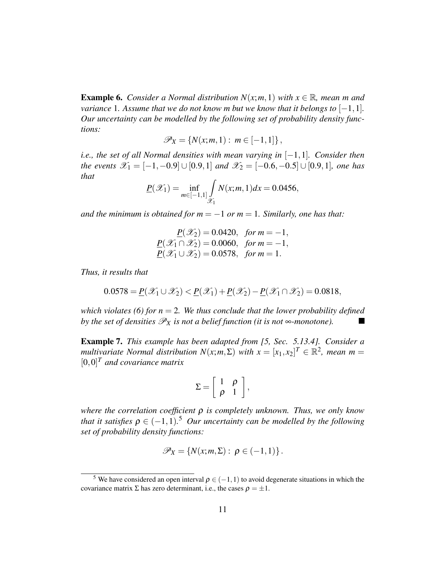**Example 6.** *Consider a Normal distribution N(x;m,1) with*  $x \in \mathbb{R}$ *, mean m and variance* 1*. Assume that we do not know m but we know that it belongs to*  $[-1,1]$ *. Our uncertainty can be modelled by the following set of probability density functions:*

$$
\mathscr{P}_X = \{ N(x; m, 1) : m \in [-1, 1] \},
$$

*i.e., the set of all Normal densities with mean varying in* [−1,1]*. Consider then the events*  $\mathscr{X}_1 = [-1, -0.9] \cup [0.9, 1]$  *and*  $\mathscr{X}_2 = [-0.6, -0.5] \cup [0.9, 1]$ *, one has that*

$$
\underline{P}(\mathcal{X}_1) = \inf_{m \in [-1,1]} \int_{\mathcal{X}_1} N(x; m, 1) dx = 0.0456,
$$

*and the minimum is obtained for m* =  $-1$  *or m* = 1*. Similarly, one has that:* 

$$
\underline{P}(\mathcal{X}_2) = 0.0420, \text{ for } m = -1,
$$
  

$$
\underline{P}(\mathcal{X}_1 \cap \mathcal{X}_2) = 0.0060, \text{ for } m = -1,
$$
  

$$
\underline{P}(\mathcal{X}_1 \cup \mathcal{X}_2) = 0.0578, \text{ for } m = 1.
$$

*Thus, it results that*

$$
0.0578 = \underline{P}(\mathscr{X}_1 \cup \mathscr{X}_2) < \underline{P}(\mathscr{X}_1) + \underline{P}(\mathscr{X}_2) - \underline{P}(\mathscr{X}_1 \cap \mathscr{X}_2) = 0.0818,
$$

*which violates (6) for n* = 2*. We thus conclude that the lower probability defined by the set of densities*  $\mathscr{P}_X$  *is not a belief function (it is not*  $\infty$ *-monotone).* ш

Example 7. *This example has been adapted from [5, Sec. 5.13.4]. Consider a multivariate Normal distribution*  $N(x; m, \Sigma)$  *with*  $x = [x_1, x_2]^T \in \mathbb{R}^2$ , *mean*  $m =$ [0,0] *<sup>T</sup> and covariance matrix*

$$
\Sigma = \left[ \begin{array}{cc} 1 & \rho \\ \rho & 1 \end{array} \right],
$$

*where the correlation coefficient* ρ *is completely unknown. Thus, we only know that it satisfies*  $\rho \in (-1,1)$ .<sup>5</sup> *Our uncertainty can be modelled by the following set of probability density functions:*

$$
\mathscr{P}_X = \{ N(x; m, \Sigma) : \rho \in (-1,1) \}.
$$

<sup>&</sup>lt;sup>5</sup> We have considered an open interval  $\rho \in (-1,1)$  to avoid degenerate situations in which the covariance matrix  $\Sigma$  has zero determinant, i.e., the cases  $\rho = \pm 1$ .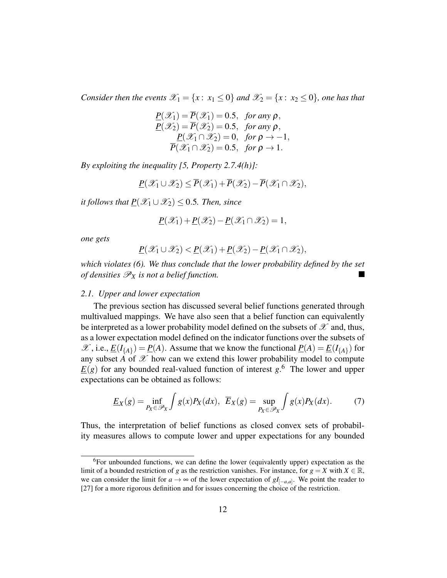*Consider then the events*  $\mathcal{X}_1 = \{x : x_1 \leq 0\}$  *and*  $\mathcal{X}_2 = \{x : x_2 \leq 0\}$ *, one has that* 

$$
\underline{P}(\mathscr{X}_1) = \overline{P}(\mathscr{X}_1) = 0.5, \text{ for any } \rho,
$$
  
\n
$$
\underline{P}(\mathscr{X}_2) = \overline{P}(\mathscr{X}_2) = 0.5, \text{ for any } \rho,
$$
  
\n
$$
\underline{P}(\mathscr{X}_1 \cap \mathscr{X}_2) = 0, \text{ for } \rho \to -1,
$$
  
\n
$$
\overline{P}(\mathscr{X}_1 \cap \mathscr{X}_2) = 0.5, \text{ for } \rho \to 1.
$$

*By exploiting the inequality [5, Property 2.7.4(h)]:*

$$
\underline{P}(\mathscr{X}_1 \cup \mathscr{X}_2) \leq \overline{P}(\mathscr{X}_1) + \overline{P}(\mathscr{X}_2) - \overline{P}(\mathscr{X}_1 \cap \mathscr{X}_2),
$$

*it follows that*  $P(\mathcal{X}_1 \cup \mathcal{X}_2) \leq 0.5$ *. Then, since* 

$$
\underline{P}(\mathscr{X}_1)+\underline{P}(\mathscr{X}_2)-\underline{P}(\mathscr{X}_1\cap\mathscr{X}_2)=1,
$$

*one gets*

$$
\underline{P}(\mathscr{X}_1 \cup \mathscr{X}_2) < \underline{P}(\mathscr{X}_1) + \underline{P}(\mathscr{X}_2) - \underline{P}(\mathscr{X}_1 \cap \mathscr{X}_2),
$$

*which violates (6). We thus conclude that the lower probability defined by the set of densities*  $\mathscr{P}_X$  *is not a belief function.* 

#### *2.1. Upper and lower expectation*

The previous section has discussed several belief functions generated through multivalued mappings. We have also seen that a belief function can equivalently be interpreted as a lower probability model defined on the subsets of  $\mathscr X$  and, thus, as a lower expectation model defined on the indicator functions over the subsets of  $\mathscr{X}$ , i.e.,  $\underline{E}(I_{\{A\}}) = \underline{P}(A)$ . Assume that we know the functional  $\underline{P}(A) = \underline{E}(I_{\{A\}})$  for any subset  $\overrightarrow{A}$  of  $\mathscr X$  how can we extend this lower probability model to compute  $E(g)$  for any bounded real-valued function of interest  $g$ .<sup>6</sup> The lower and upper expectations can be obtained as follows:

$$
\underline{E}_X(g) = \inf_{P_X \in \mathcal{P}_X} \int g(x) P_X(dx), \ \ \overline{E}_X(g) = \sup_{P_X \in \mathcal{P}_X} \int g(x) P_X(dx). \tag{7}
$$

Thus, the interpretation of belief functions as closed convex sets of probability measures allows to compute lower and upper expectations for any bounded

 ${}^{6}$ For unbounded functions, we can define the lower (equivalently upper) expectation as the limit of a bounded restriction of *g* as the restriction vanishes. For instance, for  $g = X$  with  $X \in \mathbb{R}$ , we can consider the limit for  $a \to \infty$  of the lower expectation of  $gI_{[-a,a]}$ . We point the reader to [27] for a more rigorous definition and for issues concerning the choice of the restriction.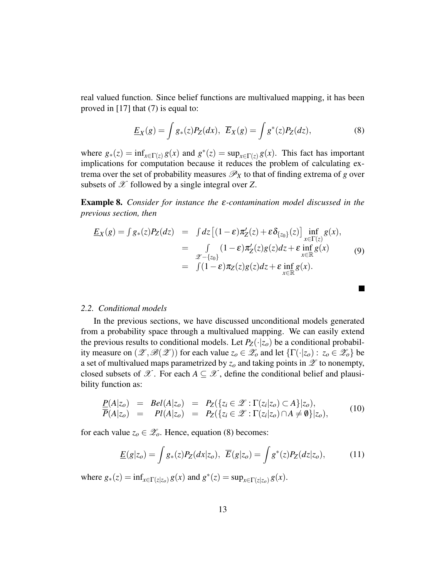real valued function. Since belief functions are multivalued mapping, it has been proved in [17] that (7) is equal to:

$$
\underline{E}_X(g) = \int g_*(z) P_Z(dx), \ \overline{E}_X(g) = \int g^*(z) P_Z(dz), \tag{8}
$$

where  $g_*(z) = \inf_{x \in \Gamma(z)} g(x)$  and  $g^*(z) = \sup_{x \in \Gamma(z)} g(x)$ . This fact has important implications for computation because it reduces the problem of calculating extrema over the set of probability measures  $\mathscr{P}_X$  to that of finding extrema of *g* over subsets of  $X$  followed by a single integral over  $Z$ .

Example 8. *Consider for instance the* ε*-contamination model discussed in the previous section, then*

$$
\underline{E}_X(g) = \int g_*(z) P_Z(dz) = \int dz \left[ (1 - \varepsilon) \pi'_Z(z) + \varepsilon \delta_{\{z_0\}}(z) \right] \inf_{x \in \Gamma(z)} g(x),
$$
  
\n
$$
= \int_{\mathscr{Z} - \{z_0\}} (1 - \varepsilon) \pi'_Z(z) g(z) dz + \varepsilon \inf_{x \in \mathbb{R}} g(x)
$$
(9)  
\n
$$
= \int (1 - \varepsilon) \pi_Z(z) g(z) dz + \varepsilon \inf_{x \in \mathbb{R}} g(x).
$$

 $\blacksquare$ 

#### *2.2. Conditional models*

In the previous sections, we have discussed unconditional models generated from a probability space through a multivalued mapping. We can easily extend the previous results to conditional models. Let  $P_Z(\cdot|z_o)$  be a conditional probability measure on  $(\mathscr{L}, \mathscr{B}(\mathscr{L}))$  for each value  $z_o \in \mathscr{L}_o$  and let  $\{\Gamma(\cdot|z_o): z_o \in \mathscr{L}_o\}$  be a set of multivalued maps parametrized by  $z<sub>o</sub>$  and taking points in  $\mathscr Z$  to nonempty, closed subsets of  $\mathscr X$ . For each  $A \subseteq \mathscr X$ , define the conditional belief and plausibility function as:

$$
\frac{P(A|z_o)}{P(A|z_o)} = Bel(A|z_o) = P_Z(\{z_i \in \mathcal{Z} : \Gamma(z_i|z_o) \subset A\}|z_o),
$$
  
\n
$$
\overline{P}(A|z_o) = PI(A|z_o) = P_Z(\{z_i \in \mathcal{Z} : \Gamma(z_i|z_o) \cap A \neq \emptyset\}|z_o),
$$
\n(10)

for each value  $z_0 \in \mathscr{Z}_0$ . Hence, equation (8) becomes:

$$
\underline{E}(g|z_o) = \int g_*(z) P_Z(dx|z_o), \ \overline{E}(g|z_o) = \int g^*(z) P_Z(dz|z_o), \tag{11}
$$

where  $g_*(z) = \inf_{x \in \Gamma(z|z_0)} g(x)$  and  $g^*(z) = \sup_{x \in \Gamma(z|z_0)} g(x)$ .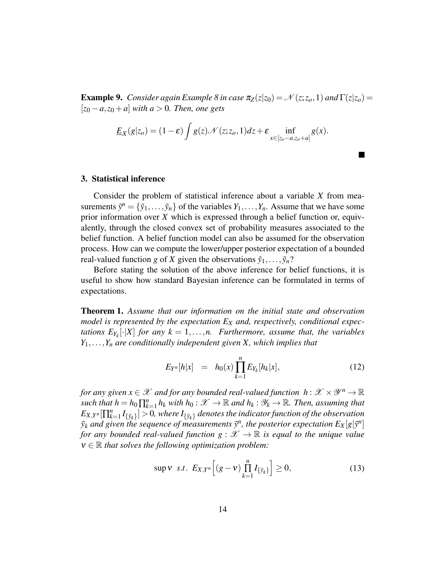**Example 9.** *Consider again Example 8 in case*  $\pi_Z(z|z_0) = \mathcal{N}(z; z_o, 1)$  *and*  $\Gamma(z|z_o) =$  $[z_0 - a, z_0 + a]$  *with*  $a > 0$ *. Then, one gets* 

$$
\underline{E}_X(g|z_o)=(1-\varepsilon)\int g(z)\mathcal{N}(z;z_o,1)dz+\varepsilon\inf_{x\in[z_o-a,z_o+a]}g(x).
$$

#### 3. Statistical inference

Consider the problem of statistical inference about a variable *X* from measurements  $\tilde{y}^n = {\tilde{y}_1, \ldots, \tilde{y}_n}$  of the variables  $Y_1, \ldots, Y_n$ . Assume that we have some prior information over *X* which is expressed through a belief function or, equivalently, through the closed convex set of probability measures associated to the belief function. A belief function model can also be assumed for the observation process. How can we compute the lower/upper posterior expectation of a bounded real-valued function *g* of *X* given the observations  $\tilde{y}_1, \ldots, \tilde{y}_n$ ?

Before stating the solution of the above inference for belief functions, it is useful to show how standard Bayesian inference can be formulated in terms of expectations.

Theorem 1. *Assume that our information on the initial state and observation model is represented by the expectation E<sup>X</sup> and, respectively, conditional expectations*  $E_{Y_k}[\cdot|X]$  *for any*  $k = 1,...,n$ . Furthermore, assume that, the variables *Y*1,...,*Y<sup>n</sup> are conditionally independent given X, which implies that*

$$
E_{Y^n}[h|x] = h_0(x) \prod_{k=1}^n E_{Y_k}[h_k|x], \qquad (12)
$$

П

for any given  $x \in \mathscr{X}$  and for any bounded real-valued function  $\ h: \mathscr{X} \times \mathscr{Y}^n \to \mathbb{R}$ *such that*  $h = h_0 \prod_k^n$  $\lim_{k=1}^n h_k$  with  $h_0: \mathscr{X} \to \mathbb{R}$  and  $h_k: \mathscr{Y}_k \to \mathbb{R}$ . Then, assuming that  $E_{X,Y^n}[\prod_k^n]$  $\{f_{k=1}^n I_{\{\tilde y_k\}}\} > 0$ , where  $I_{\{\tilde y_k\}}$  denotes the indicator function of the observation  $\tilde{y}_k$  *and given the sequence of measurements*  $\tilde{y}^n$ , *the posterior expectation*  $E_X[g|\tilde{y}^n]$ *for any bounded real-valued function g* :  $\mathscr{X} \to \mathbb{R}$  *is equal to the unique value* ν ∈ R *that solves the following optimization problem:*

$$
\sup V \ s.t. \ E_{X,Y^n} \Big[ (g-v) \prod_{k=1}^n I_{\{\tilde{y}_k\}} \Big] \ge 0,
$$
\n(13)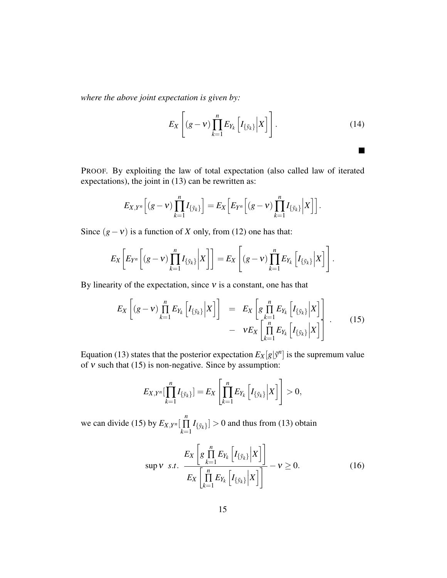*where the above joint expectation is given by:*

$$
E_X\left[ (g-v)\prod_{k=1}^n E_{Y_k}\left[I_{\{\tilde{y}_k\}}\Big|X\right]\right].
$$
\n(14)

П

PROOF. By exploiting the law of total expectation (also called law of iterated expectations), the joint in (13) can be rewritten as:

$$
E_{X,Y^n}\Big[(g-v)\prod_{k=1}^n I_{\{\tilde{y}_k\}}\Big]=E_X\Big[E_{Y^n}\Big[(g-v)\prod_{k=1}^n I_{\{\tilde{y}_k\}}\Big|X\Big]\Big].
$$

Since  $(g - v)$  is a function of *X* only, from (12) one has that:

$$
E_X\bigg[E_{Y^n}\bigg[(g-v)\prod_{k=1}^n I_{\{\tilde{y}_k\}}\bigg|X\bigg]\bigg]=E_X\left[(g-v)\prod_{k=1}^n E_{Y_k}\bigg[I_{\{\tilde{y}_k\}}\bigg|X\bigg]\right].
$$

By linearity of the expectation, since  $v$  is a constant, one has that

$$
E_X\left[ (g-v)\prod_{k=1}^n E_{Y_k}\left[I_{\{\tilde{y}_k\}}\Big|X\right]\right] = E_X\left[g\prod_{k=1}^n E_{Y_k}\left[I_{\{\tilde{y}_k\}}\Big|X\right]\right] - vE_X\left[\prod_{k=1}^n E_{Y_k}\left[I_{\{\tilde{y}_k\}}\Big|X\right]\right].
$$
 (15)

Equation (13) states that the posterior expectation  $E_X[g|\tilde{y}^n]$  is the supremum value of  $v$  such that (15) is non-negative. Since by assumption:

$$
E_{X,Y^n}[\prod_{k=1}^n I_{\{\tilde{y}_k\}}] = E_X\left[\prod_{k=1}^n E_{Y_k}\left[I_{\{\tilde{y}_k\}}\Big|X\right]\right] > 0,
$$

we can divide (15) by  $E_{X,Y^n}$ *n*  $\prod_{k=1} I_{\{\tilde{y}_k\}} > 0$  and thus from (13) obtain

$$
\sup \mathbf{v} \ \ s.t. \ \ \frac{E_X\left[g \prod_{k=1}^n E_{Y_k}\left[I_{\{\tilde{\mathbf{y}}_k\}}\Big|X\right]\right]}{E_X\left[\prod_{k=1}^n E_{Y_k}\left[I_{\{\tilde{\mathbf{y}}_k\}}\Big|X\right]\right]} - \mathbf{v} \ge 0. \tag{16}
$$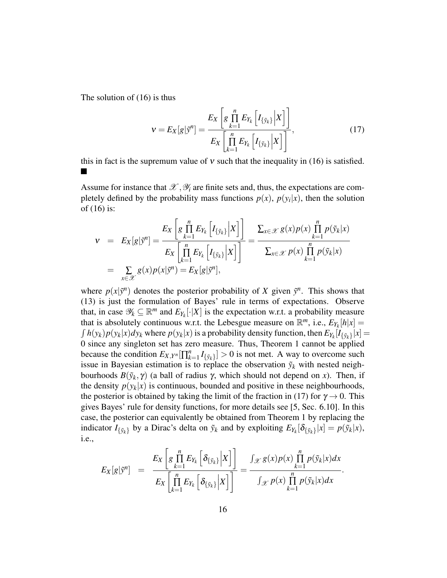The solution of (16) is thus

$$
\mathbf{v} = E_X[g|\tilde{\mathbf{y}}^n] = \frac{E_X\left[g\prod_{k=1}^n E_{Y_k}\left[I_{\{\tilde{\mathbf{y}}_k\}}\Big|X\right]\right]}{E_X\left[\prod_{k=1}^n E_{Y_k}\left[I_{\{\tilde{\mathbf{y}}_k\}}\Big|X\right]\right]},
$$
(17)

this in fact is the supremum value of  $v$  such that the inequality in (16) is satisfied.

Assume for instance that  $\mathscr{X}, \mathscr{Y}_i$  are finite sets and, thus, the expectations are completely defined by the probability mass functions  $p(x)$ ,  $p(y_i|x)$ , then the solution of (16) is:

$$
\mathbf{v} = E_X[g|\tilde{\mathbf{y}}^n] = \frac{E_X\left[g\prod_{k=1}^n E_{Y_k}\left[I_{\{\tilde{\mathbf{y}}_k\}}\Big|X\right]\right]}{E_X\left[\prod_{k=1}^n E_{Y_k}\left[I_{\{\tilde{\mathbf{y}}_k\}}\Big|X\right]\right]} = \frac{\sum_{x \in \mathcal{X}} g(x)p(x)\prod_{k=1}^n p(\tilde{\mathbf{y}}_k|x)}{\sum_{x \in \mathcal{X}} p(x)\prod_{k=1}^n p(\tilde{\mathbf{y}}_k|x)}
$$
  
= 
$$
\sum_{x \in \mathcal{X}} g(x)p(x|\tilde{\mathbf{y}}^n) = E_X[g|\tilde{\mathbf{y}}^n],
$$

where  $p(x|\tilde{y}^n)$  denotes the posterior probability of *X* given  $\tilde{y}^n$ . This shows that (13) is just the formulation of Bayes' rule in terms of expectations. Observe that, in case  $\mathscr{Y}_k \subseteq \mathbb{R}^m$  and  $E_{Y_k}[\cdot|X]$  is the expectation w.r.t. a probability measure that is absolutely continuous w.r.t. the Lebesgue measure on  $\mathbb{R}^m$ , i.e.,  $E_{Y_k}[h|x] =$  $\int h(y_k)p(y_k|x)dy_k$  where  $p(y_k|x)$  is a probability density function, then  $E_{Y_k}[I_{\{\tilde{y}_k\}}|x] =$ 0 since any singleton set has zero measure. Thus, Theorem 1 cannot be applied because the condition  $E_{X,Y^n}[\prod_k^n]$  $\left[ I_{k=1}^{n} I_{\{\tilde{y}_k\}} \right] > 0$  is not met. A way to overcome such issue in Bayesian estimation is to replace the observation  $\tilde{y}_k$  with nested neighbourhoods  $B(\tilde{y}_k, \gamma)$  (a ball of radius  $\gamma$ , which should not depend on *x*). Then, if the density  $p(y_k|x)$  is continuous, bounded and positive in these neighbourhoods, the posterior is obtained by taking the limit of the fraction in (17) for  $\gamma \rightarrow 0$ . This gives Bayes' rule for density functions, for more details see [5, Sec. 6.10]. In this case, the posterior can equivalently be obtained from Theorem 1 by replacing the indicator  $I_{\{\tilde{y}_k\}}$  by a Dirac's delta on  $\tilde{y}_k$  and by exploiting  $E_{Y_k}[\delta_{\{\tilde{y}_k\}}|x] = p(\tilde{y}_k|x)$ , i.e.,

$$
E_X[g]\tilde{y}^n] = \frac{E_X\left[g\prod_{k=1}^n E_{Y_k}\left[\delta_{\{\tilde{y}_k\}}\Big|X\right]\right]}{E_X\left[\prod_{k=1}^n E_{Y_k}\left[\delta_{\{\tilde{y}_k\}}\Big|X\right]\right]} = \frac{\int_{\mathscr{X}} g(x)p(x)\prod_{k=1}^n p(\tilde{y}_k|x)dx}{\int_{\mathscr{X}} p(x)\prod_{k=1}^n p(\tilde{y}_k|x)dx}.
$$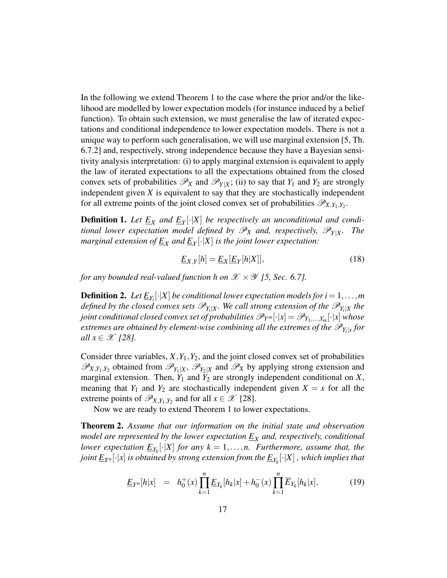In the following we extend Theorem 1 to the case where the prior and/or the likelihood are modelled by lower expectation models (for instance induced by a belief function). To obtain such extension, we must generalise the law of iterated expectations and conditional independence to lower expectation models. There is not a unique way to perform such generalisation, we will use marginal extension [5, Th. 6.7.2] and, respectively, strong independence because they have a Bayesian sensitivity analysis interpretation: (i) to apply marginal extension is equivalent to apply the law of iterated expectations to all the expectations obtained from the closed convex sets of probabilities  $\mathscr{P}_X$  and  $\mathscr{P}_{Y|X}$ ; (ii) to say that  $Y_1$  and  $Y_2$  are strongly independent given *X* is equivalent to say that they are stochastically independent for all extreme points of the joint closed convex set of probabilities  $\mathscr{P}_{X,Y_1,Y_2}$ .

**Definition 1.** Let  $\underline{E}_X$  and  $\underline{E}_Y[\cdot|X]$  be respectively an unconditional and condi*tional lower expectation model defined by*  $\mathscr{P}_X$  *and, respectively,*  $\mathscr{P}_{Y|X}$ *<i>. The marginal extension of E<sup>X</sup> and E<sup>Y</sup>* [·|*X*] *is the joint lower expectation:*

$$
\underline{E}_{X,Y}[h] = \underline{E}_X[\underline{E}_Y[h|X]],\tag{18}
$$

*for any bounded real-valued function h on*  $\mathscr{X} \times \mathscr{Y}$  *[5, Sec. 6.7].* 

**Definition 2.** Let  $\underline{E}_{Y_i}[\cdot|X]$  be conditional lower expectation models for  $i=1,\ldots,m$ defined by the closed convex sets  $\mathscr{P}_{Y_i|X}$ . We call strong extension of the  $\mathscr{P}_{Y_i|X}$  the *joint conditional closed convex set of probabilities*  $\mathscr{P}_{Y^m}[\cdot|x] = \mathscr{P}_{Y_1,...,Y_m}[\cdot|x]$  *whose*  $e$ xtremes are obtained by element-wise combining all the extremes of the  $\mathscr{P}_{Y_i|x}$  for *all*  $x \in \mathcal{X}$  [28].

Consider three variables,  $X, Y_1, Y_2$ , and the joint closed convex set of probabilities  $\mathscr{P}_{X,Y_1,Y_2}$  obtained from  $\mathscr{P}_{Y_1|X}$ ,  $\mathscr{P}_{Y_2|X}$  and  $\mathscr{P}_X$  by applying strong extension and marginal extension. Then,  $Y_1$  and  $Y_2$  are strongly independent conditional on  $X$ , meaning that  $Y_1$  and  $Y_2$  are stochastically independent given  $X = x$  for all the extreme points of  $\mathscr{P}_{X,Y_1,Y_2}$  and for all  $x \in \mathscr{X}$  [28].

Now we are ready to extend Theorem 1 to lower expectations.

Theorem 2. *Assume that our information on the initial state and observation model are represented by the lower expectation E<sup>X</sup> and, respectively, conditional lower expectation*  $\underline{E}_{Y_k}[\cdot|X]$  *for any*  $k = 1, ..., n$ *. Furthermore, assume that, the joint E<sup>Y</sup> <sup>n</sup>* [·|*x*] *is obtained by strong extension from the EY<sup>k</sup>* [·|*X*] *, which implies that*

$$
\underline{E}_{Y^n}[h|x] = h_0^+(x) \prod_{k=1}^n \underline{E}_{Y_k}[h_k|x] + h_0^-(x) \prod_{k=1}^n \overline{E}_{Y_k}[h_k|x], \tag{19}
$$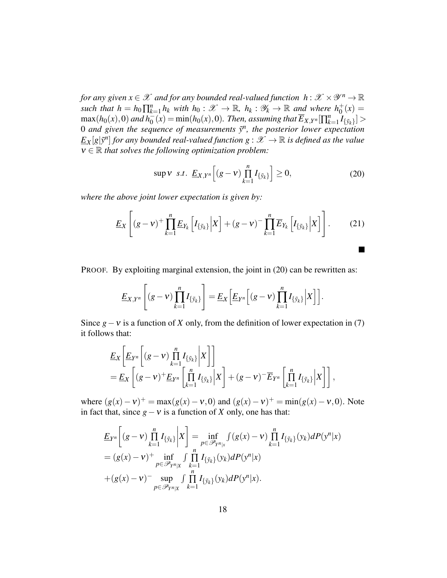for any given  $x \in \mathscr{X}$  and for any bounded real-valued function  $\ h: \mathscr{X} \times \mathscr{Y}^n \to \mathbb{R}$ *such that*  $h = h_0 \prod_k^n$  $h_{k=1}^n h_k$  *with*  $h_0: \mathscr{X} \to \mathbb{R}$ ,  $h_k: \mathscr{Y}_k \to \mathbb{R}$  and where  $h_0^+(x) =$  $\max(h_0(x), 0)$  and  $h_0^-(x) = \min(h_0(x), 0)$ . Then, assuming that  $\overline{E}_{X,Y^n}[\prod_k^n$  $\sum_{k=1}^{n} I_{\{\tilde{y}_k\}}$  > 0 *and given the sequence of measurements y*˜ *n , the posterior lower expectation*  $\underline{E}_X[g|\tilde{y}^n]$  *for any bounded real-valued function*  $g: \mathscr{X} \to \mathbb{R}$  *is defined as the value* ν ∈ R *that solves the following optimization problem:*

$$
\sup \nu \ \ s.t. \ \underline{E}_{X,Y^n} \Big[ (g-v) \prod_{k=1}^n I_{\{\tilde{y}_k\}} \Big] \ge 0, \tag{20}
$$

 $\blacksquare$ 

*where the above joint lower expectation is given by:*

$$
\underline{E}_X\left[ (g-v)^+ \prod_{k=1}^n \underline{E}_{Y_k} \left[ I_{\{\tilde{y}_k\}} \Big| X \right] + (g-v)^- \prod_{k=1}^n \overline{E}_{Y_k} \left[ I_{\{\tilde{y}_k\}} \Big| X \right] \right]. \tag{21}
$$

PROOF. By exploiting marginal extension, the joint in (20) can be rewritten as:

$$
\underline{E}_{X,Y^n}\left[(g-v)\prod_{k=1}^n I_{\{\tilde{y}_k\}}\right] = \underline{E}_X\left[\underline{E}_{Y^n}\left[(g-v)\prod_{k=1}^n I_{\{\tilde{y}_k\}}\Big|X\right]\right].
$$

Since  $g - v$  is a function of *X* only, from the definition of lower expectation in (7) it follows that:

$$
\underline{E}_{X}\left[\underline{E}_{Y^{n}}\left[(g-v)\prod_{k=1}^{n}I_{\{\tilde{y}_{k}\}}\bigg|X\right]\right] \n= \underline{E}_{X}\left[(g-v)^{+}\underline{E}_{Y^{n}}\left[\prod_{k=1}^{n}I_{\{\tilde{y}_{k}\}}\bigg|X\right] + (g-v)^{-}\overline{E}_{Y^{n}}\left[\prod_{k=1}^{n}I_{\{\tilde{y}_{k}\}}\bigg|X\right]\right],
$$

where  $(g(x) - v)^+ = \max(g(x) - v, 0)$  and  $(g(x) - v)^+ = \min(g(x) - v, 0)$ . Note in fact that, since  $g - v$  is a function of *X* only, one has that:

$$
\underline{E}_{Y^n}\bigg[(g-v)\prod_{k=1}^n I_{\{\tilde{y}_k\}}\bigg|X\bigg] = \inf_{p \in \mathscr{P}_{Y^n|x}} \int (g(x)-v)\prod_{k=1}^n I_{\{\tilde{y}_k\}}(y_k) dP(y^n|x) \n= (g(x)-v)^+ \inf_{p \in \mathscr{P}_{Y^n|x}} \int \prod_{k=1}^n I_{\{\tilde{y}_k\}}(y_k) dP(y^n|x) \n+ (g(x)-v)^- \sup_{p \in \mathscr{P}_{Y^n|x}} \int \prod_{k=1}^n I_{\{\tilde{y}_k\}}(y_k) dP(y^n|x).
$$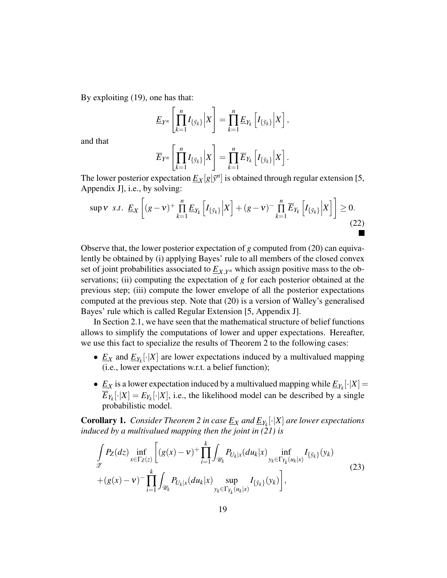By exploiting (19), one has that:

$$
\underline{E}_{Y^n}\left[\prod_{k=1}^n I_{\{\tilde{y}_k\}}\Big|X\right] = \prod_{k=1}^n \underline{E}_{Y_k}\left[I_{\{\tilde{y}_k\}}\Big|X\right],
$$

and that

$$
\overline{E}_{Y^n}\left[\prod_{k=1}^n I_{\{\tilde{y}_k\}}\Big|X\right] = \prod_{k=1}^n \overline{E}_{Y_k}\left[I_{\{\tilde{y}_k\}}\Big|X\right].
$$

The lower posterior expectation  $\underline{E}_X[g|\tilde{y}^n]$  is obtained through regular extension [5, Appendix J], i.e., by solving:

$$
\sup \mathbf{v} \ \ s.t. \ \ \underline{E}_X \left[ (g - \mathbf{v})^+ \prod_{k=1}^n \underline{E}_{Y_k} \left[ I_{\{\tilde{\mathbf{y}}_k\}} \Big| X \right] + (g - \mathbf{v})^- \prod_{k=1}^n \overline{E}_{Y_k} \left[ I_{\{\tilde{\mathbf{y}}_k\}} \Big| X \right] \right] \ge 0. \tag{22}
$$

Observe that, the lower posterior expectation of *g* computed from (20) can equivalently be obtained by (i) applying Bayes' rule to all members of the closed convex set of joint probabilities associated to *EX*,*<sup>Y</sup> <sup>n</sup>* which assign positive mass to the observations; (ii) computing the expectation of *g* for each posterior obtained at the previous step; (iii) compute the lower envelope of all the posterior expectations computed at the previous step. Note that (20) is a version of Walley's generalised Bayes' rule which is called Regular Extension [5, Appendix J].

In Section 2.1, we have seen that the mathematical structure of belief functions allows to simplify the computations of lower and upper expectations. Hereafter, we use this fact to specialize the results of Theorem 2 to the following cases:

- $\underline{E}_X$  and  $\underline{E}_{Y_k}[\cdot|X]$  are lower expectations induced by a multivalued mapping (i.e., lower expectations w.r.t. a belief function);
- $\underline{E}_X$  is a lower expectation induced by a multivalued mapping while  $\underline{E}_{Y_k}[\cdot|X] =$  $\overline{E}_{Y_k}[\cdot|X] = E_{Y_k}[\cdot|X]$ , i.e., the likelihood model can be described by a single probabilistic model.

Corollary 1. *Consider Theorem 2 in case E<sup>X</sup> and EY<sup>k</sup>* [·|*X*] *are lower expectations induced by a multivalued mapping then the joint in (21) is*

$$
\int_{\mathscr{Z}} P_Z(dz) \inf_{x \in \Gamma_Z(z)} \left[ (g(x) - v)^+ \prod_{i=1}^k \int_{\mathscr{U}_k} P_{U_k|x} (du_k | x) \inf_{y_k \in \Gamma_{Y_k}(u_k | x)} I_{\{\tilde{y}_k\}} (y_k) \right. \n+ (g(x) - v)^- \prod_{i=1}^k \int_{\mathscr{U}_k} P_{U_k|x} (du_k | x) \sup_{y_k \in \Gamma_{Y_k}(u_k | x)} I_{\{\tilde{y}_k\}} (y_k) \right],
$$
\n(23)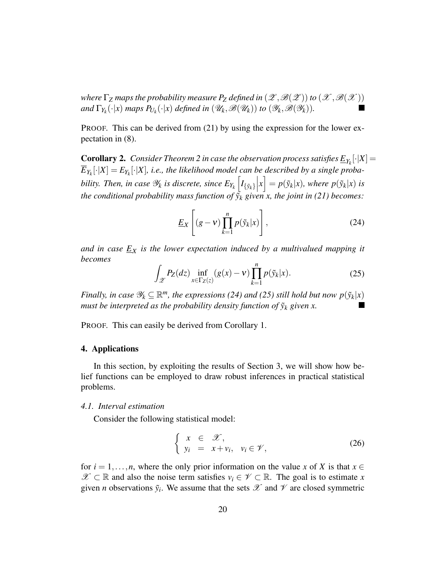*where*  $\Gamma$ <sub>*Z*</sub> *maps the probability measure*  $P$ *Z defined in*  $(\mathscr{Z}, \mathscr{B}(\mathscr{Z}))$  *to*  $(\mathscr{X}, \mathscr{B}(\mathscr{X}))$ *and*  $\Gamma_{Y_k}(\cdot|x)$  *maps*  $P_{U_k}(\cdot|x)$  *defined in*  $(\mathscr{U}_k, \mathscr{B}(\mathscr{U}_k))$  *to*  $(\mathscr{Y}_k, \mathscr{B}(\mathscr{Y}_k))$ *.* 

PROOF. This can be derived from (21) by using the expression for the lower expectation in (8).

**Corollary 2.** Consider Theorem 2 in case the observation process satisfies  $\underline{E}_{Y_k}[\cdot|X]=$  $\overline{E}_{Y_k}[\cdot|X]=E_{Y_k}[\cdot|X]$ , i.e., the likelihood model can be described by a single proba*bility. Then, in case*  $\mathscr{Y}_k$  *is discrete, since*  $E_{Y_k}\left[I_{\{\tilde{y}_k\}}\right]$  $\left[ \hat{y}_k \middle| x \right] = p(\tilde{y}_k | x)$ *, where*  $p(\tilde{y}_k | x)$  *is the conditional probability mass function of*  $\tilde{y}_k$  *given x, the joint in (21) becomes:* 

$$
\underline{E}_X\left[ (g-v)\prod_{k=1}^n p(\tilde{\mathbf{y}}_k|x) \right],\tag{24}
$$

*and in case E<sup>X</sup> is the lower expectation induced by a multivalued mapping it becomes*

$$
\int_{\mathscr{Z}} P_Z(dz) \inf_{x \in \Gamma_Z(z)} (g(x) - v) \prod_{k=1}^n p(\tilde{y}_k | x).
$$
 (25)

*Finally, in case*  $\mathscr{Y}_k \subseteq \mathbb{R}^m$ *, the expressions (24) and (25) still hold but now*  $p(\tilde{y}_k|x)$ *must be interpreted as the probability density function of*  $\tilde{y}_k$  *given x.* 

PROOF. This can easily be derived from Corollary 1.

# 4. Applications

In this section, by exploiting the results of Section 3, we will show how belief functions can be employed to draw robust inferences in practical statistical problems.

## *4.1. Interval estimation*

Consider the following statistical model:

$$
\begin{cases}\n x \in \mathcal{X}, \\
 y_i = x + v_i, \quad v_i \in \mathcal{V},\n\end{cases} (26)
$$

for  $i = 1, \ldots, n$ , where the only prior information on the value *x* of *X* is that  $x \in$  $\mathcal{X}$  ⊂ R and also the noise term satisfies  $v_i \in \mathcal{V}$  ⊂ R. The goal is to estimate *x* given *n* observations  $\tilde{y}_i$ . We assume that the sets  $\mathscr X$  and  $\mathscr V$  are closed symmetric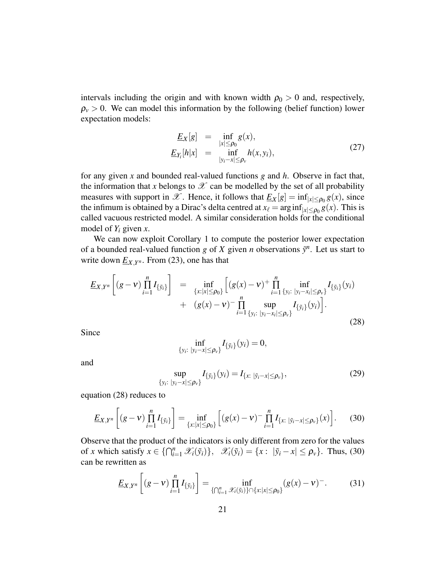intervals including the origin and with known width  $\rho_0 > 0$  and, respectively,  $\rho$ <sub>*v*</sub> > 0. We can model this information by the following (belief function) lower expectation models:

$$
\underline{E}_X[g] = \inf_{|x| \le \rho_0} g(x),
$$
\n
$$
\underline{E}_{Y_i}[h|x] = \inf_{|y_i - x| \le \rho_v} h(x, y_i),
$$
\n(27)

for any given *x* and bounded real-valued functions *g* and *h*. Observe in fact that, the information that *x* belongs to  $\mathscr X$  can be modelled by the set of all probability measures with support in  $\mathscr{X}$ . Hence, it follows that  $\underline{E}_X[g] = \inf_{|x| \le \rho_0} g(x)$ , since the infimum is obtained by a Dirac's delta centred at  $x_\ell = \arg \inf_{|x| \le \rho_0} g(x)$ . This is called vacuous restricted model. A similar consideration holds for the conditional model of *Y<sup>i</sup>* given *x*.

We can now exploit Corollary 1 to compute the posterior lower expectation of a bounded real-valued function *g* of *X* given *n* observations  $\tilde{y}^n$ . Let us start to write down  $\underline{E}_{X,Y^n}$ . From (23), one has that

$$
\underline{E}_{X,Y^n}\left[(g-v)\prod_{i=1}^n I_{\{\tilde{y}_i\}}\right] = \inf_{\{x:|x|\leq \rho_0\}} \left[ (g(x)-v)^+ \prod_{i=1}^n \inf_{\{y_i: |y_i-x_i|\leq \rho_v\}} I_{\{\tilde{y}_i\}}(y_i) + (g(x)-v)^- \prod_{i=1}^n \sup_{\{y_i: |y_i-x_i|\leq \rho_v\}} I_{\{\tilde{y}_i\}}(y_i) \right].
$$
\n(28)

Since

$$
\inf_{\{y_i:\;|y_i-x|\leq \rho_v\}} I_{\{\tilde{y}_i\}}(y_i)=0,
$$

and

$$
\sup_{\{y_i:\;|y_i-x|\leq \rho_v\}} I_{\{\tilde{y}_i\}}(y_i) = I_{\{x:\;|\tilde{y}_i-x|\leq \rho_v\}},\tag{29}
$$

equation (28) reduces to

$$
\underline{E}_{X,Y^n}\left[ (g-v)\prod_{i=1}^n I_{\{\tilde{y}_i\}} \right] = \inf_{\{x: |x| \le \rho_0\}} \left[ (g(x)-v)^{-} \prod_{i=1}^n I_{\{x: |\tilde{y}_i-x| \le \rho_v\}}(x) \right].
$$
 (30)

Observe that the product of the indicators is only different from zero for the values of *x* which satisfy  $x \in \{ \bigcap_{i=1}^n \mathcal{X}_i(\tilde{y}_i) \}$ ,  $\mathcal{X}_i(\tilde{y}_i) = \{ x : |\tilde{y}_i - x| \le \rho_v \}$ . Thus, (30) can be rewritten as

$$
\underline{E}_{X,Y^n}\left[ (g-v)\prod_{i=1}^n I_{\{\tilde{y}_i\}} \right] = \inf_{\{\bigcap_{i=1}^n \mathscr{X}_i(\tilde{y}_i)\}\cap \{x:|x|\leq \rho_0\}} (g(x)-v)^{-}.
$$
 (31)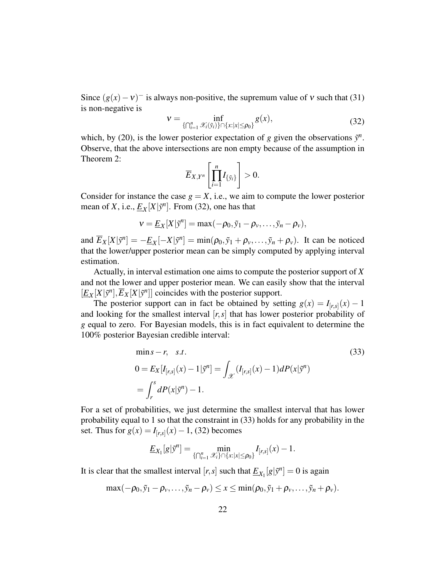Since  $(g(x) - v)^{-1}$  is always non-positive, the supremum value of v such that (31) is non-negative is

$$
\mathbf{v} = \inf_{\{\bigcap_{i=1}^n \mathscr{X}_i(\tilde{\mathbf{y}}_i)\} \cap \{x:|x| \le \rho_0\}} g(x),\tag{32}
$$

which, by (20), is the lower posterior expectation of *g* given the observations  $\tilde{y}^n$ . Observe, that the above intersections are non empty because of the assumption in Theorem 2:

$$
\overline{E}_{X,Y^n}\left[\prod_{i=1}^n I_{\{\tilde{y}_i\}}\right]>0.
$$

Consider for instance the case  $g = X$ , i.e., we aim to compute the lower posterior mean of *X*, i.e.,  $\underline{E}_X[X|\tilde{y}^n]$ . From (32), one has that

$$
v = \underline{E}_X[X|\tilde{y}^n] = \max(-\rho_0, \tilde{y}_1 - \rho_v, \ldots, \tilde{y}_n - \rho_v),
$$

and  $\overline{E}_X[X|\tilde{y}^n] = -\underline{E}_X[-X|\tilde{y}^n] = \min(\rho_0, \tilde{y}_1 + \rho_y, \dots, \tilde{y}_n + \rho_y)$ . It can be noticed that the lower/upper posterior mean can be simply computed by applying interval estimation.

Actually, in interval estimation one aims to compute the posterior support of *X* and not the lower and upper posterior mean. We can easily show that the interval  $[\underline{E}_X[X|\tilde{y}^n], \overline{E}_X[X|\tilde{y}^n]]$  coincides with the posterior support.

The posterior support can in fact be obtained by setting  $g(x) = I_{[r,s]}(x) - 1$ and looking for the smallest interval [*r*,*s*] that has lower posterior probability of *g* equal to zero. For Bayesian models, this is in fact equivalent to determine the 100% posterior Bayesian credible interval:

$$
\min s - r, \quad s.t. \tag{33}
$$
\n
$$
0 = E_X[I_{[r,s]}(x) - 1|\tilde{y}^n] = \int_{\mathcal{X}} (I_{[r,s]}(x) - 1)dP(x|\tilde{y}^n)
$$
\n
$$
= \int_r^s dP(x|\tilde{y}^n) - 1.
$$

For a set of probabilities, we just determine the smallest interval that has lower probability equal to 1 so that the constraint in (33) holds for any probability in the set. Thus for *g*(*x*) = *I*<sub>[*r*,*s*]</sub>(*x*) − 1, (32) becomes

$$
\underline{E}_{X_1}[g|\tilde{y}^n]=\min_{\{\bigcap_{i=1}^n\mathscr{X}_i\}\cap\{x:|x|\leq \rho_0\}}I_{[r,s]}(x)-1.
$$

It is clear that the smallest interval  $[r, s]$  such that  $\underline{E}_{X_1}[g|\tilde{y}^n] = 0$  is again

$$
\max(-\rho_0,\tilde{y}_1-\rho_\nu,\ldots,\tilde{y}_n-\rho_\nu)\leq x\leq \min(\rho_0,\tilde{y}_1+\rho_\nu,\ldots,\tilde{y}_n+\rho_\nu).
$$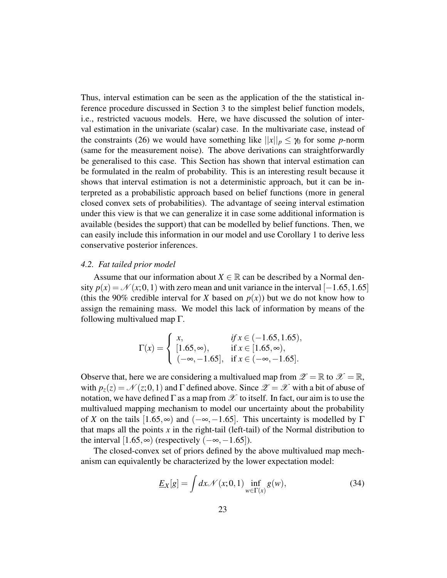Thus, interval estimation can be seen as the application of the the statistical inference procedure discussed in Section 3 to the simplest belief function models, i.e., restricted vacuous models. Here, we have discussed the solution of interval estimation in the univariate (scalar) case. In the multivariate case, instead of the constraints (26) we would have something like  $||x||_p \leq \gamma_0$  for some *p*-norm (same for the measurement noise). The above derivations can straightforwardly be generalised to this case. This Section has shown that interval estimation can be formulated in the realm of probability. This is an interesting result because it shows that interval estimation is not a deterministic approach, but it can be interpreted as a probabilistic approach based on belief functions (more in general closed convex sets of probabilities). The advantage of seeing interval estimation under this view is that we can generalize it in case some additional information is available (besides the support) that can be modelled by belief functions. Then, we can easily include this information in our model and use Corollary 1 to derive less conservative posterior inferences.

## *4.2. Fat tailed prior model*

Assume that our information about  $X \in \mathbb{R}$  can be described by a Normal density  $p(x) = \mathcal{N}(x; 0, 1)$  with zero mean and unit variance in the interval [−1.65,1.65] (this the 90% credible interval for *X* based on  $p(x)$ ) but we do not know how to assign the remaining mass. We model this lack of information by means of the following multivalued map  $\Gamma$ .

$$
\Gamma(x) = \begin{cases} x, & \text{if } x \in (-1.65, 1.65), \\ [1.65, \infty), & \text{if } x \in [1.65, \infty), \\ (-\infty, -1.65], & \text{if } x \in (-\infty, -1.65]. \end{cases}
$$

Observe that, here we are considering a multivalued map from  $\mathscr{Z} = \mathbb{R}$  to  $\mathscr{X} = \mathbb{R}$ , with  $p_z(z) = \mathcal{N}(z; 0, 1)$  and  $\Gamma$  defined above. Since  $\mathscr{Z} = \mathscr{X}$  with a bit of abuse of notation, we have defined  $\Gamma$  as a map from  $\mathscr X$  to itself. In fact, our aim is to use the multivalued mapping mechanism to model our uncertainty about the probability of *X* on the tails  $[1.65, \infty)$  and  $(-\infty, -1.65]$ . This uncertainty is modelled by  $\Gamma$ that maps all the points *x* in the right-tail (left-tail) of the Normal distribution to the interval  $[1.65, \infty)$  (respectively  $(-\infty, -1.65]$ ).

The closed-convex set of priors defined by the above multivalued map mechanism can equivalently be characterized by the lower expectation model:

$$
\underline{E}_X[g] = \int dx \mathcal{N}(x;0,1) \inf_{w \in \Gamma(x)} g(w), \tag{34}
$$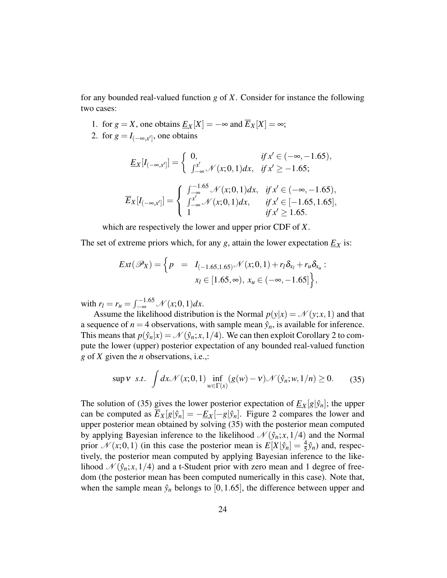for any bounded real-valued function *g* of *X*. Consider for instance the following two cases:

- 1. for  $g = X$ , one obtains  $\underline{E}_X[X] = -\infty$  and  $\overline{E}_X[X] = \infty$ ;
- 2. for  $g = I_{(-\infty, x']}$ , one obtains

$$
\underline{E}_X[I_{(-\infty,x']}] = \begin{cases} 0, & \text{if } x' \in (-\infty, -1.65), \\ \int_{-\infty}^{x'} \mathcal{N}(x; 0, 1) dx, & \text{if } x' \ge -1.65; \end{cases}
$$

$$
\overline{E}_X[I_{(-\infty,x']}] = \begin{cases} \int_{-\infty}^{-1.65} \mathcal{N}(x; 0, 1) dx, & \text{if } x' \in (-\infty, -1.65), \\ \int_{-\infty}^{x'} \mathcal{N}(x; 0, 1) dx, & \text{if } x' \in [-1.65, 1.65], \\ 1 & \text{if } x' \ge 1.65. \end{cases}
$$

which are respectively the lower and upper prior CDF of *X*.

The set of extreme priors which, for any  $g$ , attain the lower expectation  $\underline{E}_X$  is:

$$
Ext(\mathscr{P}_X) = \left\{ p = I_{(-1.65, 1.65)} \mathscr{N}(x; 0, 1) + r_l \delta_{x_l} + r_u \delta_{x_u} : x_l \in [1.65, \infty), x_u \in (-\infty, -1.65] \right\},\
$$

with  $r_l = r_u = \int_{-\infty}^{-1.65} \mathcal{N}(x; 0, 1) dx$ .

Assume the likelihood distribution is the Normal  $p(y|x) = \mathcal{N}(y; x, 1)$  and that a sequence of  $n = 4$  observations, with sample mean  $\hat{y}_n$ , is available for inference. This means that  $p(\hat{y}_n|x) = \mathcal{N}(\hat{y}_n; x, 1/4)$ . We can then exploit Corollary 2 to compute the lower (upper) posterior expectation of any bounded real-valued function *g* of *X* given the *n* observations, i.e.,:

$$
\sup V \ s.t. \ \int dx \mathcal{N}(x;0,1) \inf_{w \in \Gamma(x)} (g(w) - V) \mathcal{N}(\hat{y}_n; w, 1/n) \ge 0. \tag{35}
$$

The solution of (35) gives the lower posterior expectation of  $\underline{E}_X[g|\hat{y}_n]$ ; the upper can be computed as  $\overline{E}_X[g]\hat{y}_n] = -\underline{E}_X[-g]\hat{y}_n]$ . Figure 2 compares the lower and upper posterior mean obtained by solving (35) with the posterior mean computed by applying Bayesian inference to the likelihood  $\mathcal{N}(\hat{y}_n; x, 1/4)$  and the Normal prior  $\mathcal{N}(x; 0, 1)$  (in this case the posterior mean is  $E[X|\hat{y}_n] = \frac{4}{5}\hat{y}_n$ ) and, respectively, the posterior mean computed by applying Bayesian inference to the likelihood  $\mathcal{N}(\hat{y}_n; x, 1/4)$  and a t-Student prior with zero mean and 1 degree of freedom (the posterior mean has been computed numerically in this case). Note that, when the sample mean  $\hat{y}_n$  belongs to [0,1.65], the difference between upper and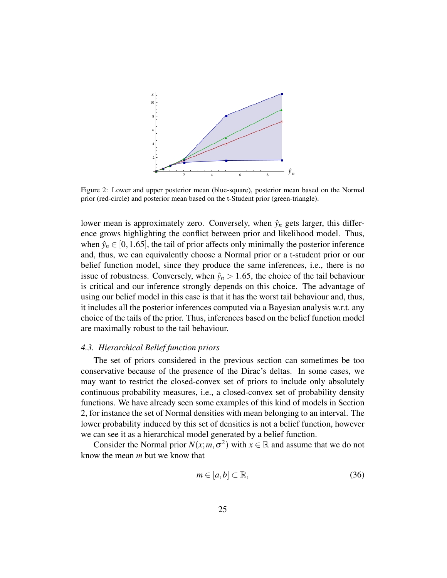

Figure 2: Lower and upper posterior mean (blue-square), posterior mean based on the Normal prior (red-circle) and posterior mean based on the t-Student prior (green-triangle).

lower mean is approximately zero. Conversely, when  $\hat{y}_n$  gets larger, this difference grows highlighting the conflict between prior and likelihood model. Thus, when  $\hat{y}_n \in [0, 1.65]$ , the tail of prior affects only minimally the posterior inference and, thus, we can equivalently choose a Normal prior or a t-student prior or our belief function model, since they produce the same inferences, i.e., there is no issue of robustness. Conversely, when  $\hat{y}_n > 1.65$ , the choice of the tail behaviour is critical and our inference strongly depends on this choice. The advantage of using our belief model in this case is that it has the worst tail behaviour and, thus, it includes all the posterior inferences computed via a Bayesian analysis w.r.t. any choice of the tails of the prior. Thus, inferences based on the belief function model are maximally robust to the tail behaviour.

#### *4.3. Hierarchical Belief function priors*

The set of priors considered in the previous section can sometimes be too conservative because of the presence of the Dirac's deltas. In some cases, we may want to restrict the closed-convex set of priors to include only absolutely continuous probability measures, i.e., a closed-convex set of probability density functions. We have already seen some examples of this kind of models in Section 2, for instance the set of Normal densities with mean belonging to an interval. The lower probability induced by this set of densities is not a belief function, however we can see it as a hierarchical model generated by a belief function.

Consider the Normal prior  $N(x; m, \sigma^2)$  with  $x \in \mathbb{R}$  and assume that we do not know the mean *m* but we know that

$$
m \in [a, b] \subset \mathbb{R},\tag{36}
$$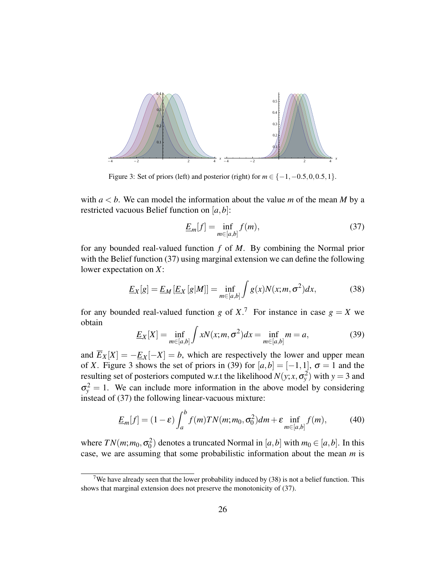

Figure 3: Set of priors (left) and posterior (right) for *m* ∈ {−1,−0.5,0,0.5,1}.

with  $a < b$ . We can model the information about the value *m* of the mean *M* by a restricted vacuous Belief function on [*a*,*b*]:

$$
\underline{E}_m[f] = \inf_{m \in [a,b]} f(m),\tag{37}
$$

for any bounded real-valued function *f* of *M*. By combining the Normal prior with the Belief function (37) using marginal extension we can define the following lower expectation on *X*:

$$
\underline{E}_X[g] = \underline{E}_M\left[\underline{E}_X\left[g|M\right]\right] = \inf_{m \in [a,b]} \int g(x)N(x;m,\sigma^2)dx,\tag{38}
$$

for any bounded real-valued function *g* of X<sup>7</sup>. For instance in case  $g = X$  we obtain

$$
\underline{E}_X[X] = \inf_{m \in [a,b]} \int xN(x; m, \sigma^2) dx = \inf_{m \in [a,b]} m = a,
$$
 (39)

and  $\overline{E}_X[X] = -\underline{E}_X[-X] = b$ , which are respectively the lower and upper mean of *X*. Figure 3 shows the set of priors in (39) for  $[a,b] = [-1,1]$ ,  $\sigma = 1$  and the resulting set of posteriors computed w.r.t the likelihood  $N(y; x, \sigma_y^2)$  with  $y = 3$  and  $\sigma_y^2 = 1$ . We can include more information in the above model by considering instead of (37) the following linear-vacuous mixture:

$$
\underline{E}_m[f] = (1 - \varepsilon) \int_a^b f(m) T N(m; m_0, \sigma_0^2) dm + \varepsilon \inf_{m \in [a, b]} f(m), \tag{40}
$$

where  $TN(m; m_0, \sigma_0^2)$  denotes a truncated Normal in  $[a, b]$  with  $m_0 \in [a, b]$ . In this case, we are assuming that some probabilistic information about the mean *m* is

<sup>&</sup>lt;sup>7</sup>We have already seen that the lower probability induced by (38) is not a belief function. This shows that marginal extension does not preserve the monotonicity of (37).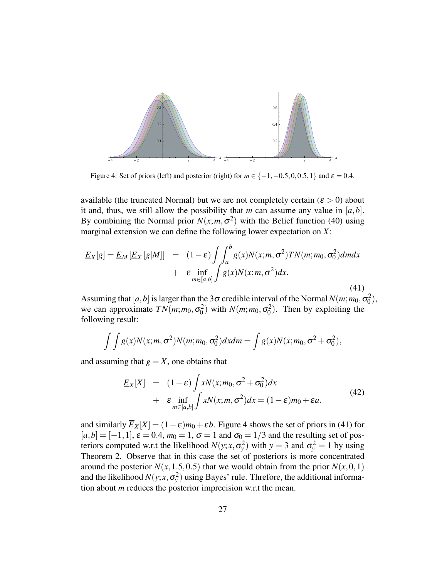

Figure 4: Set of priors (left) and posterior (right) for  $m \in \{-1, -0.5, 0, 0.5, 1\}$  and  $\varepsilon = 0.4$ .

available (the truncated Normal) but we are not completely certain ( $\varepsilon > 0$ ) about it and, thus, we still allow the possibility that *m* can assume any value in  $[a,b]$ . By combining the Normal prior  $N(x; m, \sigma^2)$  with the Belief function (40) using marginal extension we can define the following lower expectation on *X*:

$$
\underline{E}_X[g] = \underline{E}_M[\underline{E}_X[g|M]] = (1-\varepsilon) \int \int_a^b g(x) N(x; m, \sigma^2) T N(m; m_0, \sigma_0^2) dm dx \n+ \varepsilon \inf_{m \in [a,b]} \int g(x) N(x; m, \sigma^2) dx.
$$
\n(41)

Assuming that  $[a, b]$  is larger than the 3 $\sigma$  credible interval of the Normal  $N(m; m_0, \sigma_0^2)$ , we can approximate  $TN(m; m_0, \sigma_0^2)$  with  $N(m; m_0, \sigma_0^2)$ . Then by exploiting the following result:

$$
\int \int g(x)N(x; m, \sigma^2)N(m; m_0, \sigma_0^2)dx dm = \int g(x)N(x; m_0, \sigma^2 + \sigma_0^2),
$$

and assuming that  $g = X$ , one obtains that

$$
\underline{E}_X[X] = (1 - \varepsilon) \int xN(x; m_0, \sigma^2 + \sigma_0^2) dx \n+ \varepsilon \inf_{m \in [a, b]} \int xN(x; m, \sigma^2) dx = (1 - \varepsilon) m_0 + \varepsilon a.
$$
\n(42)

and similarly  $\overline{E}_X[X] = (1 - \varepsilon)m_0 + \varepsilon b$ . Figure 4 shows the set of priors in (41) for  $[a,b] = [-1,1], \varepsilon = 0.4, m_0 = 1, \sigma = 1$  and  $\sigma_0 = 1/3$  and the resulting set of posteriors computed w.r.t the likelihood  $N(y; x, \sigma_y^2)$  with  $y = 3$  and  $\sigma_y^2 = 1$  by using Theorem 2. Observe that in this case the set of posteriors is more concentrated around the posterior  $N(x, 1.5, 0.5)$  that we would obtain from the prior  $N(x, 0, 1)$ and the likelihood  $N(y; x, \sigma_y^2)$  using Bayes' rule. Threfore, the additional information about *m* reduces the posterior imprecision w.r.t the mean.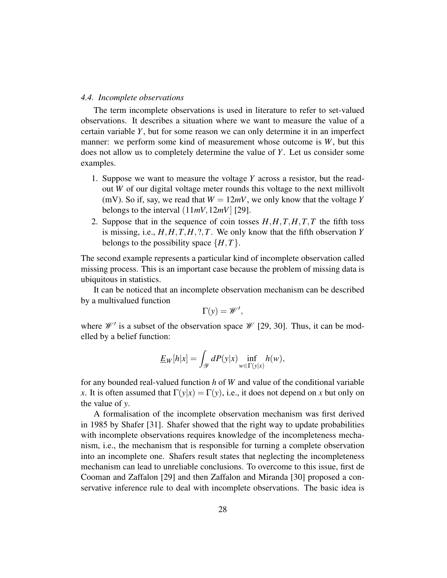#### *4.4. Incomplete observations*

The term incomplete observations is used in literature to refer to set-valued observations. It describes a situation where we want to measure the value of a certain variable *Y*, but for some reason we can only determine it in an imperfect manner: we perform some kind of measurement whose outcome is *W*, but this does not allow us to completely determine the value of *Y*. Let us consider some examples.

- 1. Suppose we want to measure the voltage *Y* across a resistor, but the readout *W* of our digital voltage meter rounds this voltage to the next millivolt (mV). So if, say, we read that  $W = 12mV$ , we only know that the voltage Y belongs to the interval  $(11mV, 12mV)$  [29].
- 2. Suppose that in the sequence of coin tosses *H*,*H*,*T*,*H*,*T*,*T* the fifth toss is missing, i.e., *H*,*H*,*T*,*H*, ?,*T*. We only know that the fifth observation *Y* belongs to the possibility space  $\{H, T\}$ .

The second example represents a particular kind of incomplete observation called missing process. This is an important case because the problem of missing data is ubiquitous in statistics.

It can be noticed that an incomplete observation mechanism can be described by a multivalued function

$$
\Gamma(y) = \mathscr{W}',
$$

where  $\mathcal{W}'$  is a subset of the observation space  $\mathcal{W}$  [29, 30]. Thus, it can be modelled by a belief function:

$$
\underline{E}_W[h|x] = \int_{\mathcal{Y}} dP(y|x) \inf_{w \in \Gamma(y|x)} h(w),
$$

for any bounded real-valued function *h* of *W* and value of the conditional variable *x*. It is often assumed that  $\Gamma(y|x) = \Gamma(y)$ , i.e., it does not depend on *x* but only on the value of *y*.

A formalisation of the incomplete observation mechanism was first derived in 1985 by Shafer [31]. Shafer showed that the right way to update probabilities with incomplete observations requires knowledge of the incompleteness mechanism, i.e., the mechanism that is responsible for turning a complete observation into an incomplete one. Shafers result states that neglecting the incompleteness mechanism can lead to unreliable conclusions. To overcome to this issue, first de Cooman and Zaffalon [29] and then Zaffalon and Miranda [30] proposed a conservative inference rule to deal with incomplete observations. The basic idea is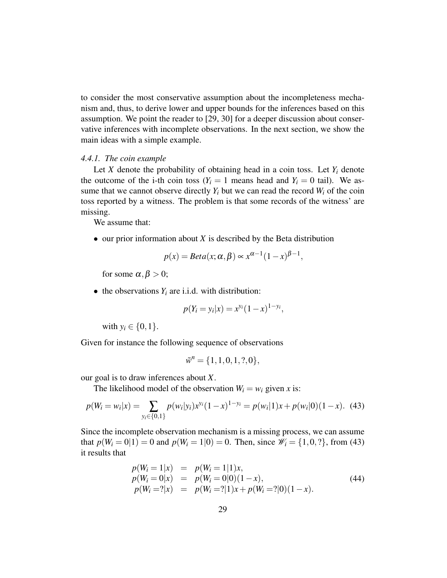to consider the most conservative assumption about the incompleteness mechanism and, thus, to derive lower and upper bounds for the inferences based on this assumption. We point the reader to [29, 30] for a deeper discussion about conservative inferences with incomplete observations. In the next section, we show the main ideas with a simple example.

#### *4.4.1. The coin example*

Let *X* denote the probability of obtaining head in a coin toss. Let  $Y_i$  denote the outcome of the i-th coin toss ( $Y_i = 1$  means head and  $Y_i = 0$  tail). We assume that we cannot observe directly  $Y_i$  but we can read the record  $W_i$  of the coin toss reported by a witness. The problem is that some records of the witness' are missing.

We assume that:

• our prior information about *X* is described by the Beta distribution

$$
p(x) = Beta(x; \alpha, \beta) \propto x^{\alpha - 1} (1 - x)^{\beta - 1},
$$

for some  $\alpha, \beta > 0$ ;

• the observations  $Y_i$  are i.i.d. with distribution:

$$
p(Y_i = y_i | x) = x^{y_i} (1 - x)^{1 - y_i},
$$

with  $y_i \in \{0, 1\}$ .

Given for instance the following sequence of observations

$$
\tilde{w}^n = \{1, 1, 0, 1, ?, 0\},\
$$

our goal is to draw inferences about *X*.

The likelihood model of the observation  $W_i = w_i$  given *x* is:

$$
p(W_i = w_i | x) = \sum_{y_i \in \{0, 1\}} p(w_i | y_i) x^{y_i} (1 - x)^{1 - y_i} = p(w_i | 1) x + p(w_i | 0) (1 - x). \tag{43}
$$

Since the incomplete observation mechanism is a missing process, we can assume that  $p(W_i = 0|1) = 0$  and  $p(W_i = 1|0) = 0$ . Then, since  $W_i = \{1, 0, ?\}$ , from (43) it results that

$$
p(W_i = 1|x) = p(W_i = 1|1)x,p(W_i = 0|x) = p(W_i = 0|0)(1 - x),p(W_i = 2|x) = p(W_i = 2|1)x + p(W_i = 2|0)(1 - x).
$$
\n(44)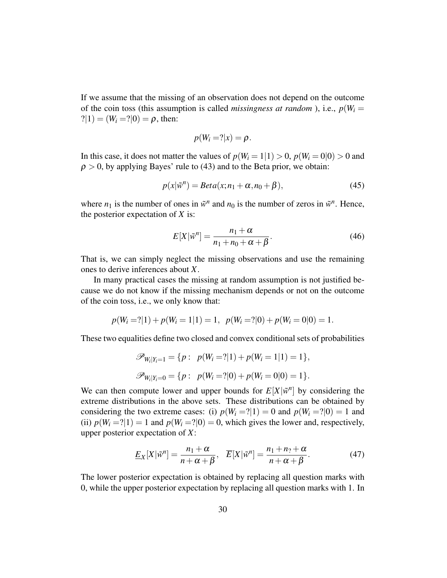If we assume that the missing of an observation does not depend on the outcome of the coin toss (this assumption is called *missingness at random*), i.e.,  $p(W_i =$  $?|1) = (W_i = ?|0) = \rho$ , then:

$$
p(W_i = ?|x) = \rho.
$$

In this case, it does not matter the values of  $p(W_i = 1|1) > 0$ ,  $p(W_i = 0|0) > 0$  and  $\rho > 0$ , by applying Bayes' rule to (43) and to the Beta prior, we obtain:

$$
p(x|\tilde{w}^n) = Beta(x; n_1 + \alpha, n_0 + \beta),
$$
\n(45)

where  $n_1$  is the number of ones in  $\tilde{w}^n$  and  $n_0$  is the number of zeros in  $\tilde{w}^n$ . Hence, the posterior expectation of *X* is:

$$
E[X|\tilde{w}^n] = \frac{n_1 + \alpha}{n_1 + n_0 + \alpha + \beta}.
$$
\n(46)

That is, we can simply neglect the missing observations and use the remaining ones to derive inferences about *X*.

In many practical cases the missing at random assumption is not justified because we do not know if the missing mechanism depends or not on the outcome of the coin toss, i.e., we only know that:

$$
p(W_i = ?|1) + p(W_i = 1|1) = 1, \ p(W_i = ?|0) + p(W_i = 0|0) = 1.
$$

These two equalities define two closed and convex conditional sets of probabilities

$$
\mathscr{P}_{W_i|Y_i=1} = \{p: \ p(W_i=?|1) + p(W_i=1|1) = 1\},
$$
  

$$
\mathscr{P}_{W_i|Y_i=0} = \{p: \ p(W_i=?|0) + p(W_i=0|0) = 1\}.
$$

We can then compute lower and upper bounds for  $E[X|\tilde{w}^n]$  by considering the extreme distributions in the above sets. These distributions can be obtained by considering the two extreme cases: (i)  $p(W_i = ?|1) = 0$  and  $p(W_i = ?|0) = 1$  and (ii)  $p(W_i = ?|1) = 1$  and  $p(W_i = ?|0) = 0$ , which gives the lower and, respectively, upper posterior expectation of *X*:

$$
\underline{E}_X[X|\tilde{w}^n] = \frac{n_1 + \alpha}{n + \alpha + \beta}, \quad \overline{E}[X|\tilde{w}^n] = \frac{n_1 + n_2 + \alpha}{n + \alpha + \beta}.
$$
 (47)

The lower posterior expectation is obtained by replacing all question marks with 0, while the upper posterior expectation by replacing all question marks with 1. In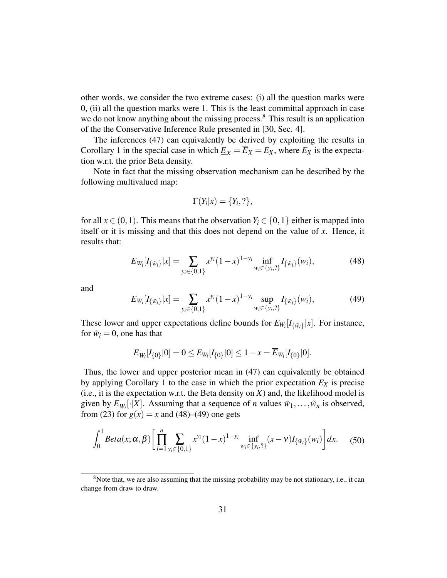other words, we consider the two extreme cases: (i) all the question marks were 0, (ii) all the question marks were 1. This is the least committal approach in case we do not know anything about the missing process.<sup>8</sup> This result is an application of the the Conservative Inference Rule presented in [30, Sec. 4].

The inferences (47) can equivalently be derived by exploiting the results in Corollary 1 in the special case in which  $\underline{E}_X = \overline{E}_X = E_X$ , where  $E_X$  is the expectation w.r.t. the prior Beta density.

Note in fact that the missing observation mechanism can be described by the following multivalued map:

$$
\Gamma(Y_i|x) = \{Y_i, ?\},\
$$

for all  $x \in (0,1)$ . This means that the observation  $Y_i \in \{0,1\}$  either is mapped into itself or it is missing and that this does not depend on the value of *x*. Hence, it results that:

$$
\underline{E}_{W_i}[I_{\{\tilde{w}_i\}}|x] = \sum_{y_i \in \{0,1\}} x^{y_i} (1-x)^{1-y_i} \inf_{w_i \in \{y_i,2\}} I_{\{\tilde{w}_i\}}(w_i),
$$
(48)

and

$$
\overline{E}_{W_i}[I_{\{\tilde{w}_i\}}|x] = \sum_{y_i \in \{0,1\}} x^{y_i} (1-x)^{1-y_i} \sup_{w_i \in \{y_i,2\}} I_{\{\tilde{w}_i\}}(w_i),
$$
(49)

These lower and upper expectations define bounds for  $E_{W_i}[I_{\{\tilde{w}_i\}}|x]$ . For instance, for  $\tilde{w}_i = 0$ , one has that

$$
\underline{E}_{W_i}[I_{\{0\}}|0] = 0 \leq E_{W_i}[I_{\{0\}}|0] \leq 1 - x = \overline{E}_{W_i}[I_{\{0\}}|0].
$$

Thus, the lower and upper posterior mean in (47) can equivalently be obtained by applying Corollary 1 to the case in which the prior expectation  $E_X$  is precise  $(i.e., it is the expectation w.r.t. the Beta density on  $X$ ) and, the likelihood model is$ given by  $\underline{E}_{W_i}[\cdot|X]$ . Assuming that a sequence of *n* values  $\tilde{w}_1, \ldots, \tilde{w}_n$  is observed, from (23) for  $g(x) = x$  and (48)–(49) one gets

$$
\int_0^1 Beta(x; \alpha, \beta) \left[ \prod_{i=1}^n \sum_{y_i \in \{0,1\}} x^{y_i} (1-x)^{1-y_i} \inf_{w_i \in \{y_i,2\}} (x-v) I_{\{\tilde{w}_i\}}(w_i) \right] dx. \tag{50}
$$

<sup>&</sup>lt;sup>8</sup>Note that, we are also assuming that the missing probability may be not stationary, i.e., it can change from draw to draw.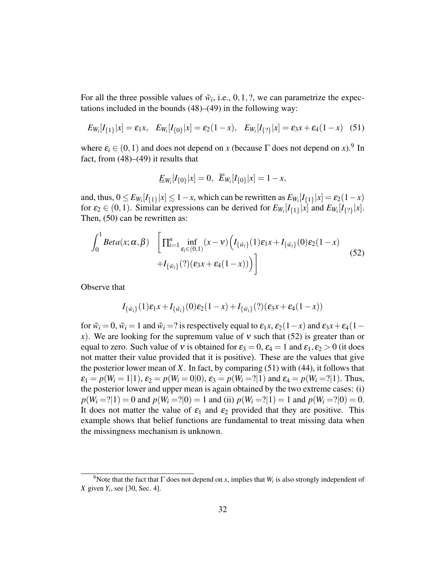For all the three possible values of  $\tilde{w}_i$ , i.e., 0, 1, ?, we can parametrize the expectations included in the bounds (48)–(49) in the following way:

$$
E_{W_i}[I_{\{1\}}|x] = \varepsilon_1 x, \quad E_{W_i}[I_{\{0\}}|x] = \varepsilon_2 (1-x), \quad E_{W_i}[I_{\{2\}}|x] = \varepsilon_3 x + \varepsilon_4 (1-x) \quad (51)
$$

where  $\varepsilon_i \in (0,1)$  and does not depend on *x* (because  $\Gamma$  does not depend on *x*).<sup>9</sup> In fact, from  $(48)$ – $(49)$  it results that

$$
\underline{E}_{W_i}[I_{\{0\}}|x] = 0, \ \ \overline{E}_{W_i}[I_{\{0\}}|x] = 1 - x,
$$

and, thus,  $0 \le E_{W_i}[I_{\{1\}}|x] \le 1-x$ , which can be rewritten as  $E_{W_i}[I_{\{1\}}|x] = \varepsilon_2(1-x)$ for  $\varepsilon_2 \in (0,1)$ . Similar expressions can be derived for  $E_{W_i}[I_{\{1\}}|x]$  and  $E_{W_i}[I_{\{2\}}|x]$ . Then, (50) can be rewritten as:

$$
\int_{0}^{1} Beta(x; \alpha, \beta) \left[ \prod_{i=1}^{n} \inf_{\varepsilon_{i} \in (0,1)} (x - v) \Big( I_{\{\tilde{w}_{i}\}}(1) \varepsilon_{1} x + I_{\{\tilde{w}_{i}\}}(0) \varepsilon_{2} (1 - x) + I_{\{\tilde{w}_{i}\}}(?) (\varepsilon_{3} x + \varepsilon_{4} (1 - x)) \Big) \right]
$$
\n(52)

Observe that

$$
I_{\{\tilde{w}_i\}}(1)\varepsilon_1x + I_{\{\tilde{w}_i\}}(0)\varepsilon_2(1-x) + I_{\{\tilde{w}_i\}}(?)(\varepsilon_3x + \varepsilon_4(1-x))
$$

for  $\tilde{w}_i = 0$ ,  $\tilde{w}_i = 1$  and  $\tilde{w}_i = ?$  is respectively equal to  $\varepsilon_1 x$ ,  $\varepsilon_2(1-x)$  and  $\varepsilon_3 x + \varepsilon_4(1-x)$ *x*). We are looking for the supremum value of v such that (52) is greater than or equal to zero. Such value of v is obtained for  $\varepsilon_3 = 0$ ,  $\varepsilon_4 = 1$  and  $\varepsilon_1$ ,  $\varepsilon_2 > 0$  (it does not matter their value provided that it is positive). These are the values that give the posterior lower mean of *X*. In fact, by comparing (51) with (44), it follows that  $\varepsilon_1 = p(W_i = 1|1), \varepsilon_2 = p(W_i = 0|0), \varepsilon_3 = p(W_i = 2|1)$  and  $\varepsilon_4 = p(W_i = 2|1)$ . Thus, the posterior lower and upper mean is again obtained by the two extreme cases: (i)  $p(W_i = ?|1) = 0$  and  $p(W_i = ?|0) = 1$  and (ii)  $p(W_i = ?|1) = 1$  and  $p(W_i = ?|0) = 0$ . It does not matter the value of  $\varepsilon_1$  and  $\varepsilon_2$  provided that they are positive. This example shows that belief functions are fundamental to treat missing data when the missingness mechanism is unknown.

<sup>&</sup>lt;sup>9</sup>Note that the fact that  $\Gamma$  does not depend on *x*, implies that  $W_i$  is also strongly independent of *X* given *Y<sup>i</sup>* , see [30, Sec. 4].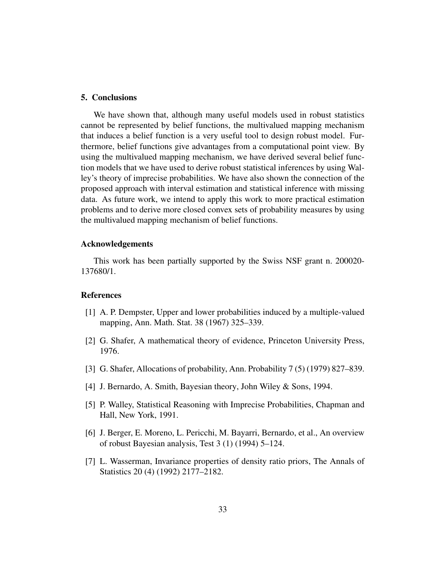## 5. Conclusions

We have shown that, although many useful models used in robust statistics cannot be represented by belief functions, the multivalued mapping mechanism that induces a belief function is a very useful tool to design robust model. Furthermore, belief functions give advantages from a computational point view. By using the multivalued mapping mechanism, we have derived several belief function models that we have used to derive robust statistical inferences by using Walley's theory of imprecise probabilities. We have also shown the connection of the proposed approach with interval estimation and statistical inference with missing data. As future work, we intend to apply this work to more practical estimation problems and to derive more closed convex sets of probability measures by using the multivalued mapping mechanism of belief functions.

## Acknowledgements

This work has been partially supported by the Swiss NSF grant n. 200020- 137680/1.

#### **References**

- [1] A. P. Dempster, Upper and lower probabilities induced by a multiple-valued mapping, Ann. Math. Stat. 38 (1967) 325–339.
- [2] G. Shafer, A mathematical theory of evidence, Princeton University Press, 1976.
- [3] G. Shafer, Allocations of probability, Ann. Probability 7 (5) (1979) 827–839.
- [4] J. Bernardo, A. Smith, Bayesian theory, John Wiley & Sons, 1994.
- [5] P. Walley, Statistical Reasoning with Imprecise Probabilities, Chapman and Hall, New York, 1991.
- [6] J. Berger, E. Moreno, L. Pericchi, M. Bayarri, Bernardo, et al., An overview of robust Bayesian analysis, Test 3 (1) (1994) 5–124.
- [7] L. Wasserman, Invariance properties of density ratio priors, The Annals of Statistics 20 (4) (1992) 2177–2182.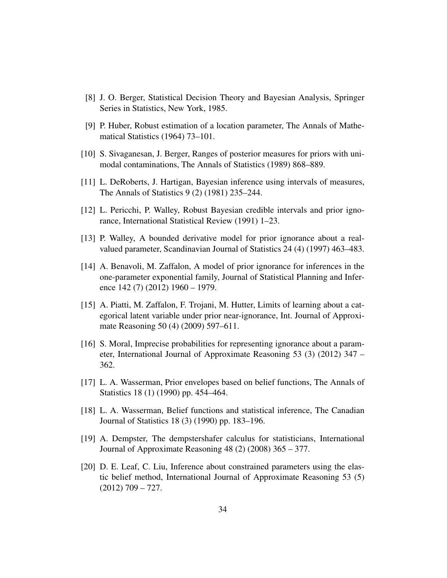- [8] J. O. Berger, Statistical Decision Theory and Bayesian Analysis, Springer Series in Statistics, New York, 1985.
- [9] P. Huber, Robust estimation of a location parameter, The Annals of Mathematical Statistics (1964) 73–101.
- [10] S. Sivaganesan, J. Berger, Ranges of posterior measures for priors with unimodal contaminations, The Annals of Statistics (1989) 868–889.
- [11] L. DeRoberts, J. Hartigan, Bayesian inference using intervals of measures, The Annals of Statistics 9 (2) (1981) 235–244.
- [12] L. Pericchi, P. Walley, Robust Bayesian credible intervals and prior ignorance, International Statistical Review (1991) 1–23.
- [13] P. Walley, A bounded derivative model for prior ignorance about a realvalued parameter, Scandinavian Journal of Statistics 24 (4) (1997) 463–483.
- [14] A. Benavoli, M. Zaffalon, A model of prior ignorance for inferences in the one-parameter exponential family, Journal of Statistical Planning and Inference 142 (7) (2012) 1960 – 1979.
- [15] A. Piatti, M. Zaffalon, F. Trojani, M. Hutter, Limits of learning about a categorical latent variable under prior near-ignorance, Int. Journal of Approximate Reasoning 50 (4) (2009) 597–611.
- [16] S. Moral, Imprecise probabilities for representing ignorance about a parameter, International Journal of Approximate Reasoning 53 (3) (2012) 347 – 362.
- [17] L. A. Wasserman, Prior envelopes based on belief functions, The Annals of Statistics 18 (1) (1990) pp. 454–464.
- [18] L. A. Wasserman, Belief functions and statistical inference, The Canadian Journal of Statistics 18 (3) (1990) pp. 183–196.
- [19] A. Dempster, The dempstershafer calculus for statisticians, International Journal of Approximate Reasoning 48 (2) (2008) 365 – 377.
- [20] D. E. Leaf, C. Liu, Inference about constrained parameters using the elastic belief method, International Journal of Approximate Reasoning 53 (5)  $(2012)$  709 – 727.